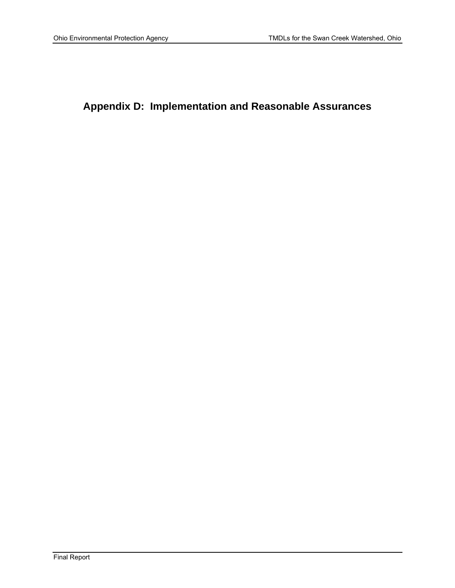# **Appendix D: Implementation and Reasonable Assurances**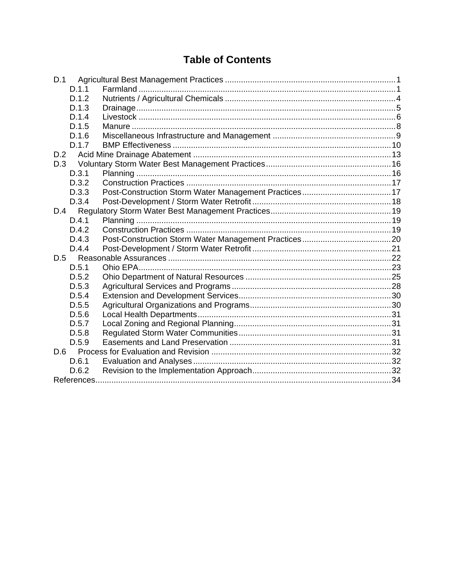# **Table of Contents**

| D.1   |  |
|-------|--|
| D.1.1 |  |
| D.1.2 |  |
| D.1.3 |  |
| D.1.4 |  |
| D.1.5 |  |
| D.1.6 |  |
| D.1.7 |  |
| D.2   |  |
| D.3   |  |
| D.3.1 |  |
| D.3.2 |  |
| D.3.3 |  |
| D.3.4 |  |
| D.4   |  |
| D.4.1 |  |
| D.4.2 |  |
| D.4.3 |  |
| D.4.4 |  |
| D.5   |  |
| D.5.1 |  |
| D.5.2 |  |
| D.5.3 |  |
| D.5.4 |  |
| D.5.5 |  |
| D.5.6 |  |
| D.5.7 |  |
| D.5.8 |  |
| D.5.9 |  |
|       |  |
| D.6.1 |  |
| D.6.2 |  |
|       |  |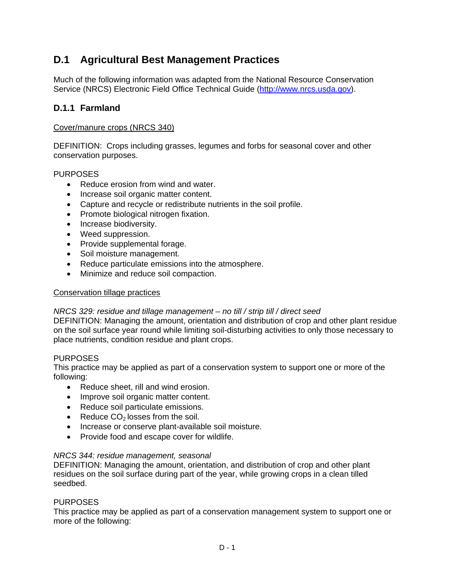# **D.1 Agricultural Best Management Practices**

Much of the following information was adapted from the National Resource Conservation Service (NRCS) Electronic Field Office Technical Guide (http://www.nrcs.usda.gov).

## **D.1.1 Farmland**

#### Cover/manure crops (NRCS 340)

DEFINITION: Crops including grasses, legumes and forbs for seasonal cover and other conservation purposes.

#### PURPOSES

- Reduce erosion from wind and water.
- Increase soil organic matter content.
- Capture and recycle or redistribute nutrients in the soil profile.
- Promote biological nitrogen fixation.
- Increase biodiversity.
- Weed suppression.
- Provide supplemental forage.
- Soil moisture management.
- Reduce particulate emissions into the atmosphere.
- Minimize and reduce soil compaction.

#### Conservation tillage practices

#### *NRCS 329: residue and tillage management – no till / strip till / direct seed*

DEFINITION: Managing the amount, orientation and distribution of crop and other plant residue on the soil surface year round while limiting soil-disturbing activities to only those necessary to place nutrients, condition residue and plant crops.

#### **PURPOSES**

This practice may be applied as part of a conservation system to support one or more of the following:

- Reduce sheet, rill and wind erosion.
- Improve soil organic matter content.
- Reduce soil particulate emissions.
- Reduce  $CO<sub>2</sub>$  losses from the soil.
- Increase or conserve plant-available soil moisture.
- Provide food and escape cover for wildlife.

#### *NRCS 344: residue management, seasonal*

DEFINITION: Managing the amount, orientation, and distribution of crop and other plant residues on the soil surface during part of the year, while growing crops in a clean tilled seedbed.

#### **PURPOSES**

This practice may be applied as part of a conservation management system to support one or more of the following: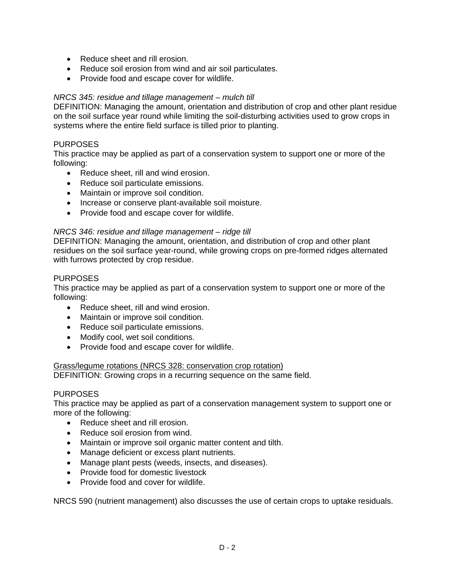- Reduce sheet and rill erosion.
- Reduce soil erosion from wind and air soil particulates.
- Provide food and escape cover for wildlife.

#### *NRCS 345: residue and tillage management – mulch till*

DEFINITION: Managing the amount, orientation and distribution of crop and other plant residue on the soil surface year round while limiting the soil-disturbing activities used to grow crops in systems where the entire field surface is tilled prior to planting.

#### **PURPOSES**

This practice may be applied as part of a conservation system to support one or more of the following:

- Reduce sheet, rill and wind erosion.
- Reduce soil particulate emissions.
- Maintain or improve soil condition.
- Increase or conserve plant-available soil moisture.
- Provide food and escape cover for wildlife.

#### *NRCS 346: residue and tillage management – ridge till*

DEFINITION: Managing the amount, orientation, and distribution of crop and other plant residues on the soil surface year-round, while growing crops on pre-formed ridges alternated with furrows protected by crop residue.

#### PURPOSES

This practice may be applied as part of a conservation system to support one or more of the following:

- Reduce sheet, rill and wind erosion.
- Maintain or improve soil condition.
- Reduce soil particulate emissions.
- Modify cool, wet soil conditions.
- Provide food and escape cover for wildlife.

#### Grass/legume rotations (NRCS 328: conservation crop rotation)

DEFINITION: Growing crops in a recurring sequence on the same field.

#### PURPOSES

This practice may be applied as part of a conservation management system to support one or more of the following:

- Reduce sheet and rill erosion.
- Reduce soil erosion from wind.
- Maintain or improve soil organic matter content and tilth.
- Manage deficient or excess plant nutrients.
- Manage plant pests (weeds, insects, and diseases).
- Provide food for domestic livestock
- Provide food and cover for wildlife.

NRCS 590 (nutrient management) also discusses the use of certain crops to uptake residuals.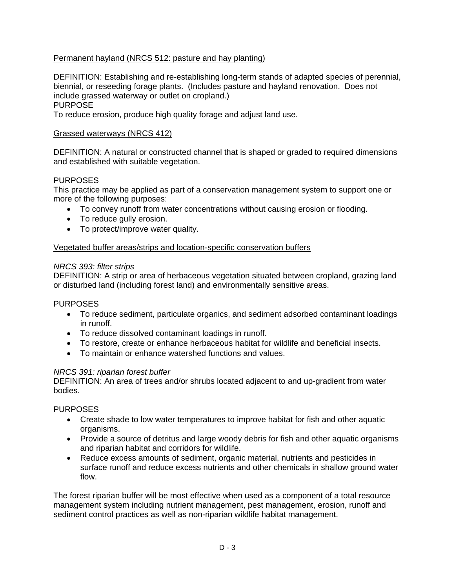## Permanent hayland (NRCS 512: pasture and hay planting)

DEFINITION: Establishing and re-establishing long-term stands of adapted species of perennial, biennial, or reseeding forage plants. (Includes pasture and hayland renovation. Does not include grassed waterway or outlet on cropland.) PURPOSE

To reduce erosion, produce high quality forage and adjust land use.

#### Grassed waterways (NRCS 412)

DEFINITION: A natural or constructed channel that is shaped or graded to required dimensions and established with suitable vegetation.

## PURPOSES

This practice may be applied as part of a conservation management system to support one or more of the following purposes:

- To convey runoff from water concentrations without causing erosion or flooding.
- To reduce gully erosion.
- To protect/improve water quality.

#### Vegetated buffer areas/strips and location-specific conservation buffers

#### *NRCS 393: filter strips*

DEFINITION: A strip or area of herbaceous vegetation situated between cropland, grazing land or disturbed land (including forest land) and environmentally sensitive areas.

#### PURPOSES

- To reduce sediment, particulate organics, and sediment adsorbed contaminant loadings in runoff.
- To reduce dissolved contaminant loadings in runoff.
- To restore, create or enhance herbaceous habitat for wildlife and beneficial insects.
- To maintain or enhance watershed functions and values.

#### *NRCS 391: riparian forest buffer*

DEFINITION: An area of trees and/or shrubs located adjacent to and up-gradient from water bodies.

#### PURPOSES

- Create shade to low water temperatures to improve habitat for fish and other aquatic organisms.
- Provide a source of detritus and large woody debris for fish and other aquatic organisms and riparian habitat and corridors for wildlife.
- Reduce excess amounts of sediment, organic material, nutrients and pesticides in surface runoff and reduce excess nutrients and other chemicals in shallow ground water flow.

The forest riparian buffer will be most effective when used as a component of a total resource management system including nutrient management, pest management, erosion, runoff and sediment control practices as well as non-riparian wildlife habitat management.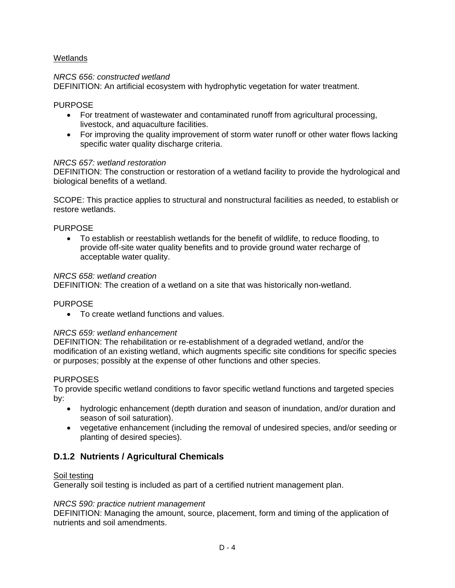## Wetlands

#### *NRCS 656: constructed wetland*

DEFINITION: An artificial ecosystem with hydrophytic vegetation for water treatment.

#### PURPOSE

- For treatment of wastewater and contaminated runoff from agricultural processing, livestock, and aquaculture facilities.
- For improving the quality improvement of storm water runoff or other water flows lacking specific water quality discharge criteria.

#### *NRCS 657: wetland restoration*

DEFINITION: The construction or restoration of a wetland facility to provide the hydrological and biological benefits of a wetland.

SCOPE: This practice applies to structural and nonstructural facilities as needed, to establish or restore wetlands.

#### PURPOSE

 To establish or reestablish wetlands for the benefit of wildlife, to reduce flooding, to provide off-site water quality benefits and to provide ground water recharge of acceptable water quality.

#### *NRCS 658: wetland creation*

DEFINITION: The creation of a wetland on a site that was historically non-wetland.

#### PURPOSE

To create wetland functions and values.

#### *NRCS 659: wetland enhancement*

DEFINITION: The rehabilitation or re-establishment of a degraded wetland, and/or the modification of an existing wetland, which augments specific site conditions for specific species or purposes; possibly at the expense of other functions and other species.

#### PURPOSES

To provide specific wetland conditions to favor specific wetland functions and targeted species by:

- hydrologic enhancement (depth duration and season of inundation, and/or duration and season of soil saturation).
- vegetative enhancement (including the removal of undesired species, and/or seeding or planting of desired species).

## **D.1.2 Nutrients / Agricultural Chemicals**

#### Soil testing

Generally soil testing is included as part of a certified nutrient management plan.

#### *NRCS 590: practice nutrient management*

DEFINITION: Managing the amount, source, placement, form and timing of the application of nutrients and soil amendments.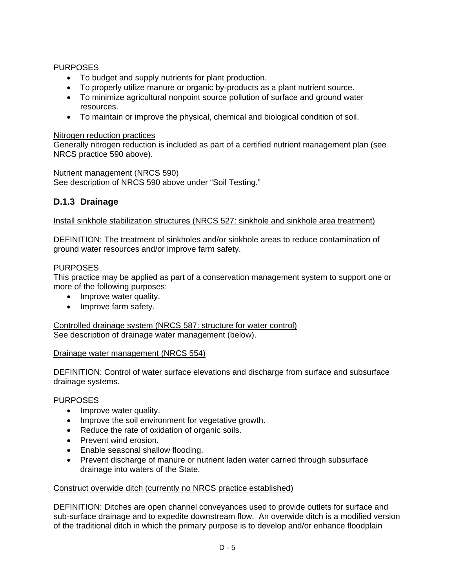## PURPOSES

- To budget and supply nutrients for plant production.
- To properly utilize manure or organic by-products as a plant nutrient source.
- To minimize agricultural nonpoint source pollution of surface and ground water resources.
- To maintain or improve the physical, chemical and biological condition of soil.

### Nitrogen reduction practices

Generally nitrogen reduction is included as part of a certified nutrient management plan (see NRCS practice 590 above).

#### Nutrient management (NRCS 590)

See description of NRCS 590 above under "Soil Testing."

## **D.1.3 Drainage**

#### Install sinkhole stabilization structures (NRCS 527: sinkhole and sinkhole area treatment)

DEFINITION: The treatment of sinkholes and/or sinkhole areas to reduce contamination of ground water resources and/or improve farm safety.

## PURPOSES

This practice may be applied as part of a conservation management system to support one or more of the following purposes:

- Improve water quality.
- Improve farm safety.

Controlled drainage system (NRCS 587: structure for water control) See description of drainage water management (below).

#### Drainage water management (NRCS 554)

DEFINITION: Control of water surface elevations and discharge from surface and subsurface drainage systems.

## PURPOSES

- Improve water quality.
- Improve the soil environment for vegetative growth.
- Reduce the rate of oxidation of organic soils.
- Prevent wind erosion.
- Enable seasonal shallow flooding.
- Prevent discharge of manure or nutrient laden water carried through subsurface drainage into waters of the State.

#### Construct overwide ditch (currently no NRCS practice established)

DEFINITION: Ditches are open channel conveyances used to provide outlets for surface and sub-surface drainage and to expedite downstream flow. An overwide ditch is a modified version of the traditional ditch in which the primary purpose is to develop and/or enhance floodplain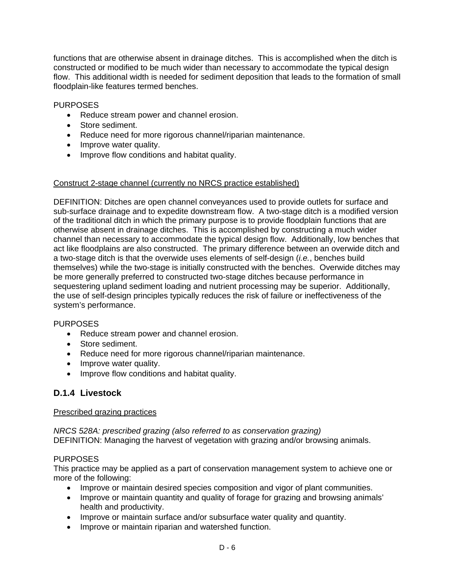functions that are otherwise absent in drainage ditches. This is accomplished when the ditch is constructed or modified to be much wider than necessary to accommodate the typical design flow. This additional width is needed for sediment deposition that leads to the formation of small floodplain-like features termed benches.

### PURPOSES

- Reduce stream power and channel erosion.
- Store sediment.
- Reduce need for more rigorous channel/riparian maintenance.
- Improve water quality.
- Improve flow conditions and habitat quality.

#### Construct 2-stage channel (currently no NRCS practice established)

DEFINITION: Ditches are open channel conveyances used to provide outlets for surface and sub-surface drainage and to expedite downstream flow. A two-stage ditch is a modified version of the traditional ditch in which the primary purpose is to provide floodplain functions that are otherwise absent in drainage ditches. This is accomplished by constructing a much wider channel than necessary to accommodate the typical design flow. Additionally, low benches that act like floodplains are also constructed. The primary difference between an overwide ditch and a two-stage ditch is that the overwide uses elements of self-design (*i.e.*, benches build themselves) while the two-stage is initially constructed with the benches. Overwide ditches may be more generally preferred to constructed two-stage ditches because performance in sequestering upland sediment loading and nutrient processing may be superior. Additionally, the use of self-design principles typically reduces the risk of failure or ineffectiveness of the system's performance.

#### PURPOSES

- Reduce stream power and channel erosion.
- Store sediment.
- Reduce need for more rigorous channel/riparian maintenance.
- Improve water quality.
- Improve flow conditions and habitat quality.

## **D.1.4 Livestock**

#### Prescribed grazing practices

*NRCS 528A: prescribed grazing (also referred to as conservation grazing)*  DEFINITION: Managing the harvest of vegetation with grazing and/or browsing animals.

## PURPOSES

This practice may be applied as a part of conservation management system to achieve one or more of the following:

- Improve or maintain desired species composition and vigor of plant communities.
- Improve or maintain quantity and quality of forage for grazing and browsing animals' health and productivity.
- Improve or maintain surface and/or subsurface water quality and quantity.
- Improve or maintain riparian and watershed function.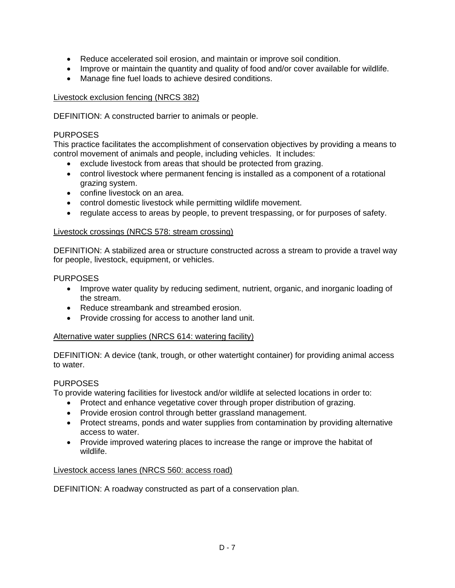- Reduce accelerated soil erosion, and maintain or improve soil condition.
- Improve or maintain the quantity and quality of food and/or cover available for wildlife.
- Manage fine fuel loads to achieve desired conditions.

#### Livestock exclusion fencing (NRCS 382)

DEFINITION: A constructed barrier to animals or people.

#### PURPOSES

This practice facilitates the accomplishment of conservation objectives by providing a means to control movement of animals and people, including vehicles. It includes:

- exclude livestock from areas that should be protected from grazing.
- control livestock where permanent fencing is installed as a component of a rotational grazing system.
- confine livestock on an area.
- control domestic livestock while permitting wildlife movement.
- regulate access to areas by people, to prevent trespassing, or for purposes of safety.

#### Livestock crossings (NRCS 578: stream crossing)

DEFINITION: A stabilized area or structure constructed across a stream to provide a travel way for people, livestock, equipment, or vehicles.

#### PURPOSES

- Improve water quality by reducing sediment, nutrient, organic, and inorganic loading of the stream.
- Reduce streambank and streambed erosion.
- Provide crossing for access to another land unit.

#### Alternative water supplies (NRCS 614: watering facility)

DEFINITION: A device (tank, trough, or other watertight container) for providing animal access to water.

#### PURPOSES

To provide watering facilities for livestock and/or wildlife at selected locations in order to:

- Protect and enhance vegetative cover through proper distribution of grazing.
- Provide erosion control through better grassland management.
- Protect streams, ponds and water supplies from contamination by providing alternative access to water.
- Provide improved watering places to increase the range or improve the habitat of wildlife.

#### Livestock access lanes (NRCS 560: access road)

DEFINITION: A roadway constructed as part of a conservation plan.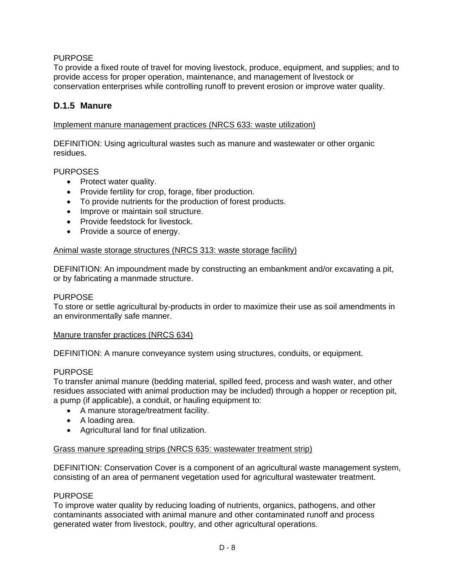## PURPOSE

To provide a fixed route of travel for moving livestock, produce, equipment, and supplies; and to provide access for proper operation, maintenance, and management of livestock or conservation enterprises while controlling runoff to prevent erosion or improve water quality.

## **D.1.5 Manure**

### Implement manure management practices (NRCS 633: waste utilization)

DEFINITION: Using agricultural wastes such as manure and wastewater or other organic residues.

#### PURPOSES

- Protect water quality.
- Provide fertility for crop, forage, fiber production.
- To provide nutrients for the production of forest products.
- Improve or maintain soil structure.
- Provide feedstock for livestock.
- Provide a source of energy.

#### Animal waste storage structures (NRCS 313: waste storage facility)

DEFINITION: An impoundment made by constructing an embankment and/or excavating a pit, or by fabricating a manmade structure.

#### PURPOSE

To store or settle agricultural by-products in order to maximize their use as soil amendments in an environmentally safe manner.

#### Manure transfer practices (NRCS 634)

DEFINITION: A manure conveyance system using structures, conduits, or equipment.

#### PURPOSE

To transfer animal manure (bedding material, spilled feed, process and wash water, and other residues associated with animal production may be included) through a hopper or reception pit, a pump (if applicable), a conduit, or hauling equipment to:

- A manure storage/treatment facility.
- A loading area.
- Agricultural land for final utilization.

#### Grass manure spreading strips (NRCS 635: wastewater treatment strip)

DEFINITION: Conservation Cover is a component of an agricultural waste management system, consisting of an area of permanent vegetation used for agricultural wastewater treatment.

#### PURPOSE

To improve water quality by reducing loading of nutrients, organics, pathogens, and other contaminants associated with animal manure and other contaminated runoff and process generated water from livestock, poultry, and other agricultural operations.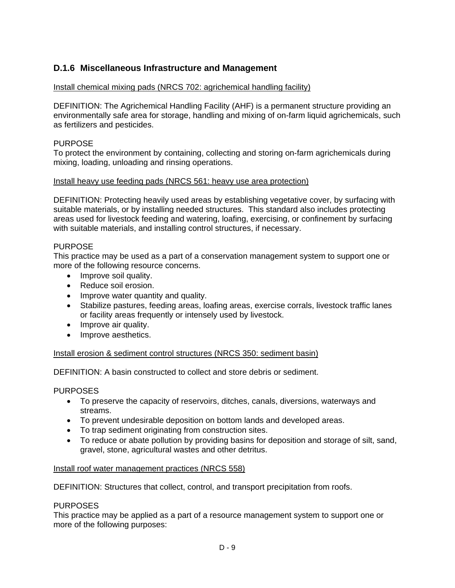## **D.1.6 Miscellaneous Infrastructure and Management**

## Install chemical mixing pads (NRCS 702: agrichemical handling facility)

DEFINITION: The Agrichemical Handling Facility (AHF) is a permanent structure providing an environmentally safe area for storage, handling and mixing of on-farm liquid agrichemicals, such as fertilizers and pesticides.

## PURPOSE

To protect the environment by containing, collecting and storing on-farm agrichemicals during mixing, loading, unloading and rinsing operations.

#### Install heavy use feeding pads (NRCS 561: heavy use area protection)

DEFINITION: Protecting heavily used areas by establishing vegetative cover, by surfacing with suitable materials, or by installing needed structures. This standard also includes protecting areas used for livestock feeding and watering, loafing, exercising, or confinement by surfacing with suitable materials, and installing control structures, if necessary.

## **PURPOSE**

This practice may be used as a part of a conservation management system to support one or more of the following resource concerns.

- Improve soil quality.
- Reduce soil erosion.
- Improve water quantity and quality.
- Stabilize pastures, feeding areas, loafing areas, exercise corrals, livestock traffic lanes or facility areas frequently or intensely used by livestock.
- Improve air quality.
- Improve aesthetics.

#### Install erosion & sediment control structures (NRCS 350: sediment basin)

DEFINITION: A basin constructed to collect and store debris or sediment.

#### PURPOSES

- To preserve the capacity of reservoirs, ditches, canals, diversions, waterways and streams.
- To prevent undesirable deposition on bottom lands and developed areas.
- To trap sediment originating from construction sites.
- To reduce or abate pollution by providing basins for deposition and storage of silt, sand, gravel, stone, agricultural wastes and other detritus.

#### Install roof water management practices (NRCS 558)

DEFINITION: Structures that collect, control, and transport precipitation from roofs.

#### PURPOSES

This practice may be applied as a part of a resource management system to support one or more of the following purposes: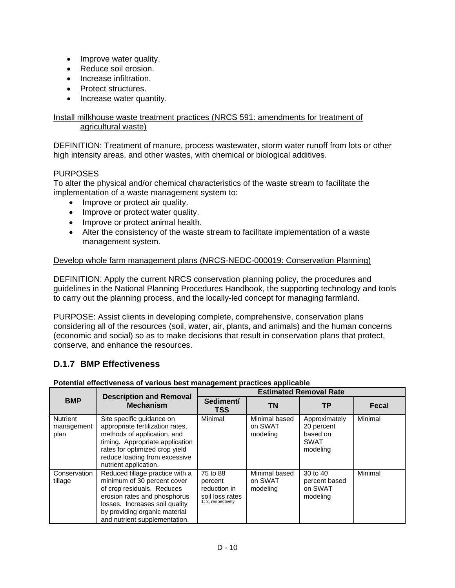- Improve water quality.
- Reduce soil erosion.
- Increase infiltration.
- Protect structures.
- Increase water quantity.

#### Install milkhouse waste treatment practices (NRCS 591: amendments for treatment of agricultural waste)

DEFINITION: Treatment of manure, process wastewater, storm water runoff from lots or other high intensity areas, and other wastes, with chemical or biological additives.

#### PURPOSES

To alter the physical and/or chemical characteristics of the waste stream to facilitate the implementation of a waste management system to:

- Improve or protect air quality.
- Improve or protect water quality.
- Improve or protect animal health.
- Alter the consistency of the waste stream to facilitate implementation of a waste management system.

#### Develop whole farm management plans (NRCS-NEDC-000019: Conservation Planning)

DEFINITION: Apply the current NRCS conservation planning policy, the procedures and guidelines in the National Planning Procedures Handbook, the supporting technology and tools to carry out the planning process, and the locally-led concept for managing farmland.

PURPOSE: Assist clients in developing complete, comprehensive, conservation plans considering all of the resources (soil, water, air, plants, and animals) and the human concerns (economic and social) so as to make decisions that result in conservation plans that protect, conserve, and enhance the resources.

## **D.1.7 BMP Effectiveness**

| Potential effectiveness of various best management practices applicable |  |  |
|-------------------------------------------------------------------------|--|--|
|                                                                         |  |  |

| <b>BMP</b>                            | <b>Description and Removal</b><br><b>Mechanism</b>                                                                                                                                                                               | <b>Estimated Removal Rate</b>                                                |                                      |                                                                    |              |
|---------------------------------------|----------------------------------------------------------------------------------------------------------------------------------------------------------------------------------------------------------------------------------|------------------------------------------------------------------------------|--------------------------------------|--------------------------------------------------------------------|--------------|
|                                       |                                                                                                                                                                                                                                  | Sediment/<br><b>TSS</b>                                                      | <b>TN</b>                            | ТP                                                                 | <b>Fecal</b> |
| <b>Nutrient</b><br>management<br>plan | Site specific guidance on<br>appropriate fertilization rates,<br>methods of application, and<br>timing. Appropriate application<br>rates for optimized crop yield<br>reduce loading from excessive<br>nutrient application.      | Minimal                                                                      | Minimal based<br>on SWAT<br>modeling | Approximately<br>20 percent<br>based on<br><b>SWAT</b><br>modeling | Minimal      |
| Conservation<br>tillage               | Reduced tillage practice with a<br>minimum of 30 percent cover<br>of crop residuals. Reduces<br>erosion rates and phosphorus<br>losses. Increases soil quality<br>by providing organic material<br>and nutrient supplementation. | 75 to 88<br>percent<br>reduction in<br>soil loss rates<br>1; 2, respectively | Minimal based<br>on SWAT<br>modeling | 30 to 40<br>percent based<br>on SWAT<br>modeling                   | Minimal      |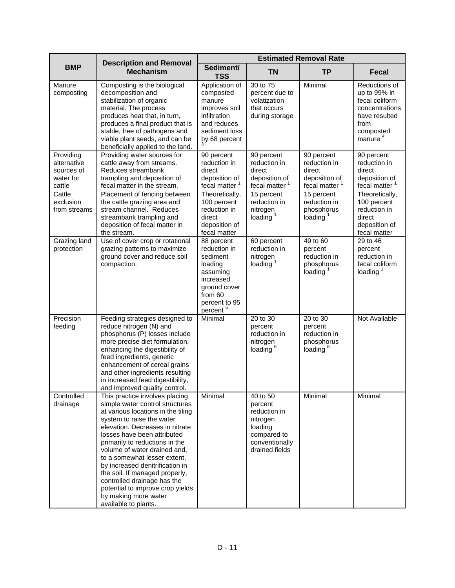| <b>BMP</b>                                                    | <b>Description and Removal</b><br><b>Mechanism</b>                                                                                                                                                                                                                                                                                                                                                                                                                                               | <b>Estimated Removal Rate</b>                                                                                                                  |                                                                                                               |                                                                                    |                                                                                                                                |
|---------------------------------------------------------------|--------------------------------------------------------------------------------------------------------------------------------------------------------------------------------------------------------------------------------------------------------------------------------------------------------------------------------------------------------------------------------------------------------------------------------------------------------------------------------------------------|------------------------------------------------------------------------------------------------------------------------------------------------|---------------------------------------------------------------------------------------------------------------|------------------------------------------------------------------------------------|--------------------------------------------------------------------------------------------------------------------------------|
|                                                               |                                                                                                                                                                                                                                                                                                                                                                                                                                                                                                  | Sediment/<br><b>TSS</b>                                                                                                                        | <b>TN</b>                                                                                                     | <b>TP</b>                                                                          | <b>Fecal</b>                                                                                                                   |
| Manure<br>composting                                          | Composting is the biological<br>decomposition and<br>stabilization of organic<br>material. The process<br>produces heat that, in turn,<br>produces a final product that is<br>stable, free of pathogens and<br>viable plant seeds, and can be<br>beneficially applied to the land.                                                                                                                                                                                                               | Application of<br>composted<br>manure<br>improves soil<br>infiltration<br>and reduces<br>sediment loss<br>by 68 percent                        | 30 to 75<br>percent due to<br>volatization<br>that occurs<br>during storage                                   | Minimal                                                                            | Reductions of<br>up to 99% in<br>fecal coliform<br>concentrations<br>have resulted<br>from<br>composted<br>manure <sup>4</sup> |
| Providing<br>alternative<br>sources of<br>water for<br>cattle | Providing water sources for<br>cattle away from streams.<br>Reduces streambank<br>trampling and deposition of<br>fecal matter in the stream.                                                                                                                                                                                                                                                                                                                                                     | 90 percent<br>reduction in<br>direct<br>deposition of<br>fecal matter <sup>1</sup>                                                             | 90 percent<br>reduction in<br>direct<br>deposition of<br>fecal matter <sup>1</sup>                            | 90 percent<br>reduction in<br>direct<br>deposition of<br>fecal matter <sup>1</sup> | 90 percent<br>reduction in<br>direct<br>deposition of<br>fecal matter <sup>1</sup>                                             |
| Cattle<br>exclusion<br>from streams                           | Placement of fencing between<br>the cattle grazing area and<br>stream channel. Reduces<br>streambank trampling and<br>deposition of fecal matter in<br>the stream.                                                                                                                                                                                                                                                                                                                               | Theoretically,<br>100 percent<br>reduction in<br>direct<br>deposition of<br>fecal matter                                                       | 15 percent<br>reduction in<br>nitrogen<br>loading $1$                                                         | 15 percent<br>reduction in<br>phosphorus<br>loading $1$                            | Theoretically,<br>100 percent<br>reduction in<br>direct<br>deposition of<br>fecal matter                                       |
| Grazing land<br>protection                                    | Use of cover crop or rotational<br>grazing patterns to maximize<br>ground cover and reduce soil<br>compaction.                                                                                                                                                                                                                                                                                                                                                                                   | 88 percent<br>reduction in<br>sediment<br>loading<br>assuming<br>increased<br>ground cover<br>from 60<br>percent to 95<br>percent <sup>5</sup> | 60 percent<br>reduction in<br>nitrogen<br>loading $1$                                                         | 49 to 60<br>percent<br>reduction in<br>phosphorus<br>loading $1$                   | 29 to 46<br>percent<br>reduction in<br>fecal coliform<br>loading $1$                                                           |
| Precision<br>feeding                                          | Feeding strategies designed to<br>reduce nitrogen (N) and<br>phosphorus (P) losses include<br>more precise diet formulation,<br>enhancing the digestibility of<br>feed ingredients, genetic<br>enhancement of cereal grains<br>and other ingredients resulting<br>in increased feed digestibility,<br>and improved quality control.                                                                                                                                                              | Minimal                                                                                                                                        | 20 to 30<br>percent<br>reduction in<br>nitrogen<br>loading <sup>6</sup>                                       | 20 to 30<br>percent<br>reduction in<br>phosphorus<br>loading <sup>6</sup>          | Not Available                                                                                                                  |
| Controlled<br>drainage                                        | This practice involves placing<br>simple water control structures<br>at various locations in the tiling<br>system to raise the water<br>elevation. Decreases in nitrate<br>losses have been attributed<br>primarily to reductions in the<br>volume of water drained and,<br>to a somewhat lesser extent,<br>by increased denitrification in<br>the soil. If managed properly,<br>controlled drainage has the<br>potential to improve crop yields<br>by making more water<br>available to plants. | Minimal                                                                                                                                        | 40 to 50<br>percent<br>reduction in<br>nitrogen<br>loading<br>compared to<br>conventionally<br>drained fields | Minimal                                                                            | Minimal                                                                                                                        |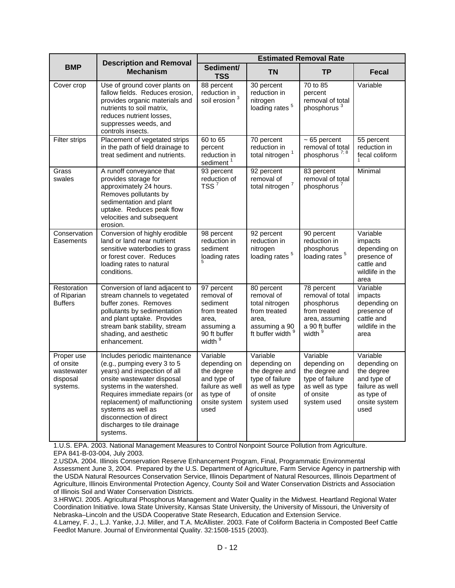| <b>BMP</b>                                                    | <b>Description and Removal</b><br><b>Mechanism</b>                                                                                                                                                                                                                                                                      | <b>Estimated Removal Rate</b>                                                                                     |                                                                                                              |                                                                                                                        |                                                                                                                 |
|---------------------------------------------------------------|-------------------------------------------------------------------------------------------------------------------------------------------------------------------------------------------------------------------------------------------------------------------------------------------------------------------------|-------------------------------------------------------------------------------------------------------------------|--------------------------------------------------------------------------------------------------------------|------------------------------------------------------------------------------------------------------------------------|-----------------------------------------------------------------------------------------------------------------|
|                                                               |                                                                                                                                                                                                                                                                                                                         | Sediment/<br><b>TSS</b>                                                                                           | <b>TN</b>                                                                                                    | <b>TP</b>                                                                                                              | <b>Fecal</b>                                                                                                    |
| Cover crop                                                    | Use of ground cover plants on<br>fallow fields. Reduces erosion,<br>provides organic materials and<br>nutrients to soil matrix,<br>reduces nutrient losses,<br>suppresses weeds, and<br>controls insects.                                                                                                               | 88 percent<br>reduction in<br>soil erosion <sup>3</sup>                                                           | 30 percent<br>reduction in<br>nitrogen<br>loading rates <sup>5</sup>                                         | 70 to 85<br>percent<br>removal of total<br>phosphorus <sup>3</sup>                                                     | Variable                                                                                                        |
| <b>Filter strips</b>                                          | Placement of vegetated strips<br>in the path of field drainage to<br>treat sediment and nutrients.                                                                                                                                                                                                                      | 60 to 65<br>percent<br>reduction in<br>sediment <sup>1</sup>                                                      | 70 percent<br>reduction in<br>total nitrogen <sup>1</sup>                                                    | $\sim 65$ percent<br>removal of total<br>phosphorus <sup>7; 8</sup>                                                    | 55 percent<br>reduction in<br>fecal coliform                                                                    |
| Grass<br>swales                                               | A runoff conveyance that<br>provides storage for<br>approximately 24 hours.<br>Removes pollutants by<br>sedimentation and plant<br>uptake. Reduces peak flow<br>velocities and subsequent<br>erosion.                                                                                                                   | 93 percent<br>reduction of<br>TSS $7$                                                                             | 92 percent<br>removal of<br>total nitrogen <sup>7</sup>                                                      | 83 percent<br>removal of total<br>phosphorus <sup>7</sup>                                                              | Minimal                                                                                                         |
| Conservation<br>Easements                                     | Conversion of highly erodible<br>land or land near nutrient<br>sensitive waterbodies to grass<br>or forest cover. Reduces<br>loading rates to natural<br>conditions.                                                                                                                                                    | 98 percent<br>reduction in<br>sediment<br>loading rates                                                           | 92 percent<br>reduction in<br>nitrogen<br>loading rates <sup>5</sup>                                         | 90 percent<br>reduction in<br>phosphorus<br>loading rates <sup>5</sup>                                                 | Variable<br>impacts<br>depending on<br>presence of<br>cattle and<br>wildlife in the<br>area                     |
| Restoration<br>of Riparian<br><b>Buffers</b>                  | Conversion of land adjacent to<br>stream channels to vegetated<br>buffer zones. Removes<br>pollutants by sedimentation<br>and plant uptake. Provides<br>stream bank stability, stream<br>shading, and aesthetic<br>enhancement.                                                                                         | 97 percent<br>removal of<br>sediment<br>from treated<br>area,<br>assuming a<br>90 ft buffer<br>width <sup>9</sup> | 80 percent<br>removal of<br>total nitrogen<br>from treated<br>area,<br>assuming a 90<br>ft buffer width 9    | 78 percent<br>removal of total<br>phosphorus<br>from treated<br>area, assuming<br>a 90 ft buffer<br>width <sup>9</sup> | Variable<br>impacts<br>depending on<br>presence of<br>cattle and<br>wildlife in the<br>area                     |
| Proper use<br>of onsite<br>wastewater<br>disposal<br>systems. | Includes periodic maintenance<br>(e.g., pumping every 3 to 5<br>years) and inspection of all<br>onsite wastewater disposal<br>systems in the watershed.<br>Requires immediate repairs (or<br>replacement) of malfunctioning<br>systems as well as<br>disconnection of direct<br>discharges to tile drainage<br>systems. | Variable<br>depending on<br>the degree<br>and type of<br>failure as well<br>as type of<br>onsite system<br>used   | Variable<br>depending on<br>the degree and<br>type of failure<br>as well as type<br>of onsite<br>system used | Variable<br>depending on<br>the degree and<br>type of failure<br>as well as type<br>of onsite<br>system used           | Variable<br>depending on<br>the degree<br>and type of<br>failure as well<br>as type of<br>onsite system<br>used |

1.U.S. EPA. 2003. National Management Measures to Control Nonpoint Source Pollution from Agriculture. EPA 841-B-03-004, July 2003.

2.USDA. 2004. Illinois Conservation Reserve Enhancement Program, Final, Programmatic Environmental Assessment June 3, 2004. Prepared by the U.S. Department of Agriculture, Farm Service Agency in partnership with the USDA Natural Resources Conservation Service, Illinois Department of Natural Resources, Illinois Department of Agriculture, Illinois Environmental Protection Agency, County Soil and Water Conservation Districts and Association of Illinois Soil and Water Conservation Districts.

3.HRWCI. 2005. Agricultural Phosphorus Management and Water Quality in the Midwest. Heartland Regional Water Coordination Initiative. Iowa State University, Kansas State University, the University of Missouri, the University of Nebraska–Lincoln and the USDA Cooperative State Research, Education and Extension Service.

4.Larney, F. J., L.J. Yanke, J.J. Miller, and T.A. McAllister. 2003. Fate of Coliform Bacteria in Composted Beef Cattle Feedlot Manure. Journal of Environmental Quality. 32:1508-1515 (2003).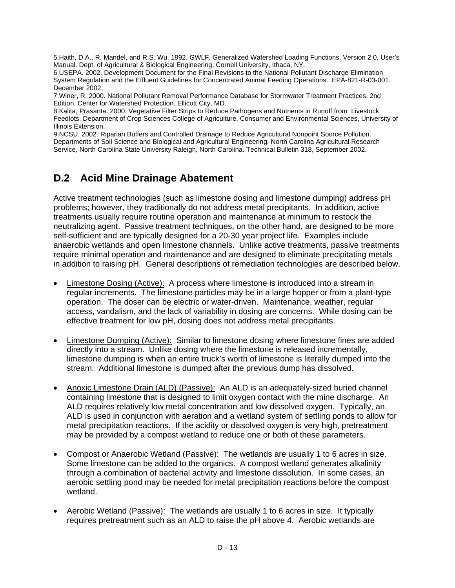5.Haith, D.A., R. Mandel, and R.S. Wu. 1992. GWLF, Generalized Watershed Loading Functions, Version 2.0, User's Manual. Dept. of Agricultural & Biological Engineering, Cornell University, Ithaca, NY.

6.USEPA. 2002. Development Document for the Final Revisions to the National Pollutant Discharge Elimination System Regulation and the Effluent Guidelines for Concentrated Animal Feeding Operations. EPA-821-R-03-001. December 2002.

7.Winer, R. 2000. National Pollutant Removal Performance Database for Stormwater Treatment Practices, 2nd Edition. Center for Watershed Protection. Ellicott City, MD.

8.Kalita, Prasanta. 2000. Vegetative Filter Strips to Reduce Pathogens and Nutrients in Runoff from Livestock Feedlots. Department of Crop Sciences College of Agriculture, Consumer and Environmental Sciences, University of Illinois Extension.

9.NCSU. 2002. Riparian Buffers and Controlled Drainage to Reduce Agricultural Nonpoint Source Pollution. Departments of Soil Science and Biological and Agricultural Engineering, North Carolina Agricultural Research Service, North Carolina State University Raleigh, North Carolina. Technical Bulletin 318, September 2002.

# **D.2 Acid Mine Drainage Abatement**

Active treatment technologies (such as limestone dosing and limestone dumping) address pH problems; however, they traditionally do not address metal precipitants. In addition, active treatments usually require routine operation and maintenance at minimum to restock the neutralizing agent. Passive treatment techniques, on the other hand, are designed to be more self-sufficient and are typically designed for a 20-30 year project life. Examples include anaerobic wetlands and open limestone channels. Unlike active treatments, passive treatments require minimal operation and maintenance and are designed to eliminate precipitating metals in addition to raising pH. General descriptions of remediation technologies are described below.

- Limestone Dosing (Active): A process where limestone is introduced into a stream in regular increments. The limestone particles may be in a large hopper or from a plant-type operation. The doser can be electric or water-driven. Maintenance, weather, regular access, vandalism, and the lack of variability in dosing are concerns. While dosing can be effective treatment for low pH, dosing does not address metal precipitants.
- Limestone Dumping (Active): Similar to limestone dosing where limestone fines are added directly into a stream. Unlike dosing where the limestone is released incrementally, limestone dumping is when an entire truck's worth of limestone is literally dumped into the stream. Additional limestone is dumped after the previous dump has dissolved.
- Anoxic Limestone Drain (ALD) (Passive): An ALD is an adequately-sized buried channel containing limestone that is designed to limit oxygen contact with the mine discharge. An ALD requires relatively low metal concentration and low dissolved oxygen. Typically, an ALD is used in conjunction with aeration and a wetland system of settling ponds to allow for metal precipitation reactions. If the acidity or dissolved oxygen is very high, pretreatment may be provided by a compost wetland to reduce one or both of these parameters.
- Compost or Anaerobic Wetland (Passive): The wetlands are usually 1 to 6 acres in size. Some limestone can be added to the organics. A compost wetland generates alkalinity through a combination of bacterial activity and limestone dissolution. In some cases, an aerobic settling pond may be needed for metal precipitation reactions before the compost wetland.
- Aerobic Wetland (Passive): The wetlands are usually 1 to 6 acres in size. It typically requires pretreatment such as an ALD to raise the pH above 4. Aerobic wetlands are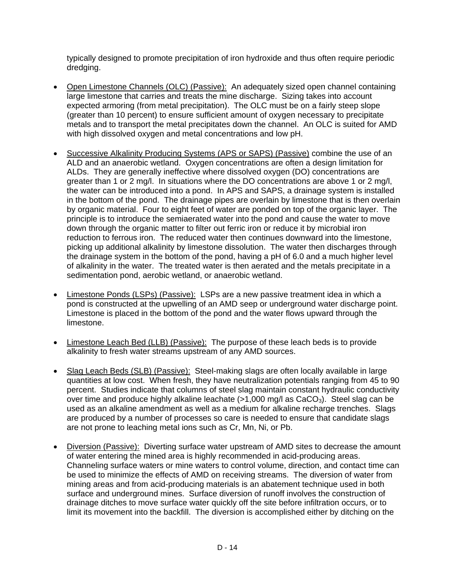typically designed to promote precipitation of iron hydroxide and thus often require periodic dredging.

- Open Limestone Channels (OLC) (Passive): An adequately sized open channel containing large limestone that carries and treats the mine discharge. Sizing takes into account expected armoring (from metal precipitation). The OLC must be on a fairly steep slope (greater than 10 percent) to ensure sufficient amount of oxygen necessary to precipitate metals and to transport the metal precipitates down the channel. An OLC is suited for AMD with high dissolved oxygen and metal concentrations and low pH.
- Successive Alkalinity Producing Systems (APS or SAPS) (Passive) combine the use of an ALD and an anaerobic wetland. Oxygen concentrations are often a design limitation for ALDs. They are generally ineffective where dissolved oxygen (DO) concentrations are greater than 1 or 2 mg/l. In situations where the DO concentrations are above 1 or 2 mg/l, the water can be introduced into a pond. In APS and SAPS, a drainage system is installed in the bottom of the pond. The drainage pipes are overlain by limestone that is then overlain by organic material. Four to eight feet of water are ponded on top of the organic layer. The principle is to introduce the semiaerated water into the pond and cause the water to move down through the organic matter to filter out ferric iron or reduce it by microbial iron reduction to ferrous iron. The reduced water then continues downward into the limestone, picking up additional alkalinity by limestone dissolution. The water then discharges through the drainage system in the bottom of the pond, having a pH of 6.0 and a much higher level of alkalinity in the water. The treated water is then aerated and the metals precipitate in a sedimentation pond, aerobic wetland, or anaerobic wetland.
- Limestone Ponds (LSPs) (Passive): LSPs are a new passive treatment idea in which a pond is constructed at the upwelling of an AMD seep or underground water discharge point. Limestone is placed in the bottom of the pond and the water flows upward through the limestone.
- Limestone Leach Bed (LLB) (Passive): The purpose of these leach beds is to provide alkalinity to fresh water streams upstream of any AMD sources.
- Slag Leach Beds (SLB) (Passive): Steel-making slags are often locally available in large quantities at low cost. When fresh, they have neutralization potentials ranging from 45 to 90 percent. Studies indicate that columns of steel slag maintain constant hydraulic conductivity over time and produce highly alkaline leachate  $(>1,000 \text{ mg/l} \text{ as } CaCO<sub>3</sub>)$ . Steel slag can be used as an alkaline amendment as well as a medium for alkaline recharge trenches. Slags are produced by a number of processes so care is needed to ensure that candidate slags are not prone to leaching metal ions such as Cr, Mn, Ni, or Pb.
- Diversion (Passive): Diverting surface water upstream of AMD sites to decrease the amount of water entering the mined area is highly recommended in acid-producing areas. Channeling surface waters or mine waters to control volume, direction, and contact time can be used to minimize the effects of AMD on receiving streams. The diversion of water from mining areas and from acid-producing materials is an abatement technique used in both surface and underground mines. Surface diversion of runoff involves the construction of drainage ditches to move surface water quickly off the site before infiltration occurs, or to limit its movement into the backfill. The diversion is accomplished either by ditching on the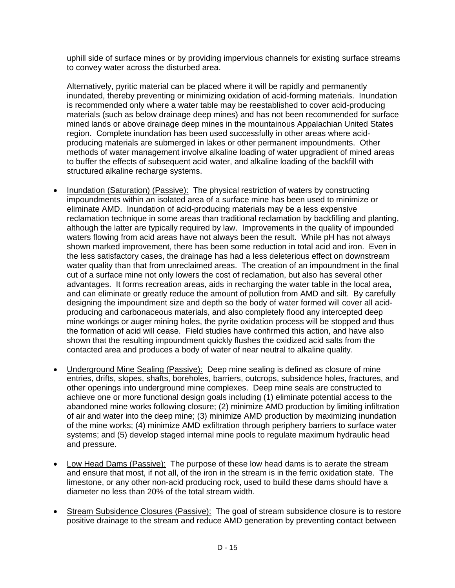uphill side of surface mines or by providing impervious channels for existing surface streams to convey water across the disturbed area.

Alternatively, pyritic material can be placed where it will be rapidly and permanently inundated, thereby preventing or minimizing oxidation of acid-forming materials. Inundation is recommended only where a water table may be reestablished to cover acid-producing materials (such as below drainage deep mines) and has not been recommended for surface mined lands or above drainage deep mines in the mountainous Appalachian United States region. Complete inundation has been used successfully in other areas where acidproducing materials are submerged in lakes or other permanent impoundments. Other methods of water management involve alkaline loading of water upgradient of mined areas to buffer the effects of subsequent acid water, and alkaline loading of the backfill with structured alkaline recharge systems.

- Inundation (Saturation) (Passive): The physical restriction of waters by constructing impoundments within an isolated area of a surface mine has been used to minimize or eliminate AMD. Inundation of acid-producing materials may be a less expensive reclamation technique in some areas than traditional reclamation by backfilling and planting, although the latter are typically required by law. Improvements in the quality of impounded waters flowing from acid areas have not always been the result. While pH has not always shown marked improvement, there has been some reduction in total acid and iron. Even in the less satisfactory cases, the drainage has had a less deleterious effect on downstream water quality than that from unreclaimed areas. The creation of an impoundment in the final cut of a surface mine not only lowers the cost of reclamation, but also has several other advantages. It forms recreation areas, aids in recharging the water table in the local area, and can eliminate or greatly reduce the amount of pollution from AMD and silt. By carefully designing the impoundment size and depth so the body of water formed will cover all acidproducing and carbonaceous materials, and also completely flood any intercepted deep mine workings or auger mining holes, the pyrite oxidation process will be stopped and thus the formation of acid will cease. Field studies have confirmed this action, and have also shown that the resulting impoundment quickly flushes the oxidized acid salts from the contacted area and produces a body of water of near neutral to alkaline quality.
- Underground Mine Sealing (Passive): Deep mine sealing is defined as closure of mine entries, drifts, slopes, shafts, boreholes, barriers, outcrops, subsidence holes, fractures, and other openings into underground mine complexes. Deep mine seals are constructed to achieve one or more functional design goals including (1) eliminate potential access to the abandoned mine works following closure; (2) minimize AMD production by limiting infiltration of air and water into the deep mine; (3) minimize AMD production by maximizing inundation of the mine works; (4) minimize AMD exfiltration through periphery barriers to surface water systems; and (5) develop staged internal mine pools to regulate maximum hydraulic head and pressure.
- Low Head Dams (Passive): The purpose of these low head dams is to aerate the stream and ensure that most, if not all, of the iron in the stream is in the ferric oxidation state. The limestone, or any other non-acid producing rock, used to build these dams should have a diameter no less than 20% of the total stream width.
- Stream Subsidence Closures (Passive): The goal of stream subsidence closure is to restore positive drainage to the stream and reduce AMD generation by preventing contact between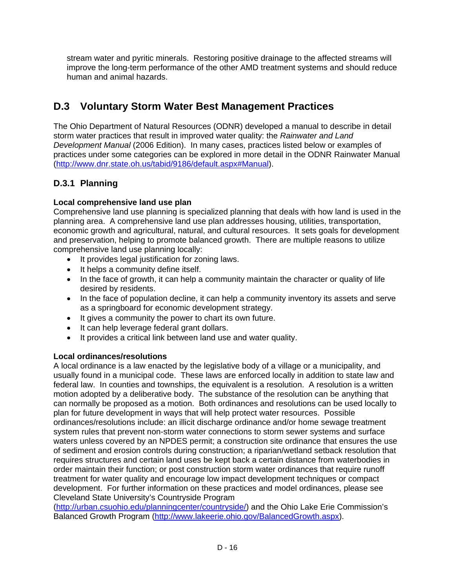stream water and pyritic minerals. Restoring positive drainage to the affected streams will improve the long-term performance of the other AMD treatment systems and should reduce human and animal hazards.

# **D.3 Voluntary Storm Water Best Management Practices**

The Ohio Department of Natural Resources (ODNR) developed a manual to describe in detail storm water practices that result in improved water quality: the *Rainwater and Land Development Manual* (2006 Edition). In many cases, practices listed below or examples of practices under some categories can be explored in more detail in the ODNR Rainwater Manual (http://www.dnr.state.oh.us/tabid/9186/default.aspx#Manual).

## **D.3.1 Planning**

## **Local comprehensive land use plan**

Comprehensive land use planning is specialized planning that deals with how land is used in the planning area. A comprehensive land use plan addresses housing, utilities, transportation, economic growth and agricultural, natural, and cultural resources. It sets goals for development and preservation, helping to promote balanced growth. There are multiple reasons to utilize comprehensive land use planning locally:

- It provides legal justification for zoning laws.
- It helps a community define itself.
- In the face of growth, it can help a community maintain the character or quality of life desired by residents.
- In the face of population decline, it can help a community inventory its assets and serve as a springboard for economic development strategy.
- It gives a community the power to chart its own future.
- It can help leverage federal grant dollars.
- It provides a critical link between land use and water quality.

#### **Local ordinances/resolutions**

A local ordinance is a law enacted by the legislative body of a village or a municipality, and usually found in a municipal code. These laws are enforced locally in addition to state law and federal law. In counties and townships, the equivalent is a resolution. A resolution is a written motion adopted by a deliberative body. The substance of the resolution can be anything that can normally be proposed as a motion. Both ordinances and resolutions can be used locally to plan for future development in ways that will help protect water resources. Possible ordinances/resolutions include: an illicit discharge ordinance and/or home sewage treatment system rules that prevent non-storm water connections to storm sewer systems and surface waters unless covered by an NPDES permit; a construction site ordinance that ensures the use of sediment and erosion controls during construction; a riparian/wetland setback resolution that requires structures and certain land uses be kept back a certain distance from waterbodies in order maintain their function; or post construction storm water ordinances that require runoff treatment for water quality and encourage low impact development techniques or compact development. For further information on these practices and model ordinances, please see Cleveland State University's Countryside Program

(http://urban.csuohio.edu/planningcenter/countryside/) and the Ohio Lake Erie Commission's Balanced Growth Program (http://www.lakeerie.ohio.gov/BalancedGrowth.aspx).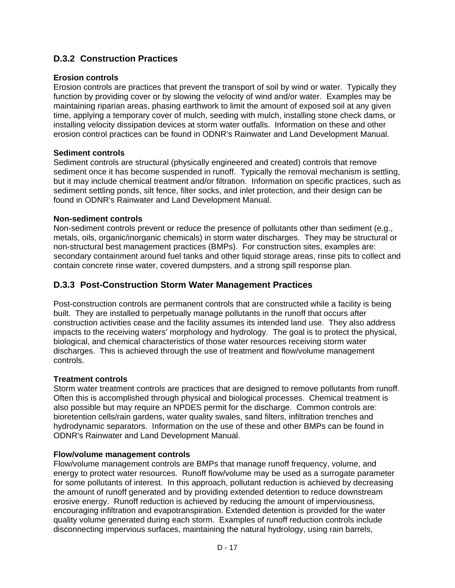## **D.3.2 Construction Practices**

### **Erosion controls**

Erosion controls are practices that prevent the transport of soil by wind or water. Typically they function by providing cover or by slowing the velocity of wind and/or water. Examples may be maintaining riparian areas, phasing earthwork to limit the amount of exposed soil at any given time, applying a temporary cover of mulch, seeding with mulch, installing stone check dams, or installing velocity dissipation devices at storm water outfalls. Information on these and other erosion control practices can be found in ODNR's Rainwater and Land Development Manual.

## **Sediment controls**

Sediment controls are structural (physically engineered and created) controls that remove sediment once it has become suspended in runoff. Typically the removal mechanism is settling, but it may include chemical treatment and/or filtration. Information on specific practices, such as sediment settling ponds, silt fence, filter socks, and inlet protection, and their design can be found in ODNR's Rainwater and Land Development Manual.

#### **Non-sediment controls**

Non-sediment controls prevent or reduce the presence of pollutants other than sediment (e.g., metals, oils, organic/inorganic chemicals) in storm water discharges. They may be structural or non-structural best management practices (BMPs). For construction sites, examples are: secondary containment around fuel tanks and other liquid storage areas, rinse pits to collect and contain concrete rinse water, covered dumpsters, and a strong spill response plan.

## **D.3.3 Post-Construction Storm Water Management Practices**

Post-construction controls are permanent controls that are constructed while a facility is being built. They are installed to perpetually manage pollutants in the runoff that occurs after construction activities cease and the facility assumes its intended land use. They also address impacts to the receiving waters' morphology and hydrology. The goal is to protect the physical, biological, and chemical characteristics of those water resources receiving storm water discharges. This is achieved through the use of treatment and flow/volume management controls.

#### **Treatment controls**

Storm water treatment controls are practices that are designed to remove pollutants from runoff. Often this is accomplished through physical and biological processes. Chemical treatment is also possible but may require an NPDES permit for the discharge. Common controls are: bioretention cells/rain gardens, water quality swales, sand filters, infiltration trenches and hydrodynamic separators. Information on the use of these and other BMPs can be found in ODNR's Rainwater and Land Development Manual.

#### **Flow/volume management controls**

Flow/volume management controls are BMPs that manage runoff frequency, volume, and energy to protect water resources. Runoff flow/volume may be used as a surrogate parameter for some pollutants of interest. In this approach, pollutant reduction is achieved by decreasing the amount of runoff generated and by providing extended detention to reduce downstream erosive energy. Runoff reduction is achieved by reducing the amount of imperviousness, encouraging infiltration and evapotranspiration. Extended detention is provided for the water quality volume generated during each storm. Examples of runoff reduction controls include disconnecting impervious surfaces, maintaining the natural hydrology, using rain barrels,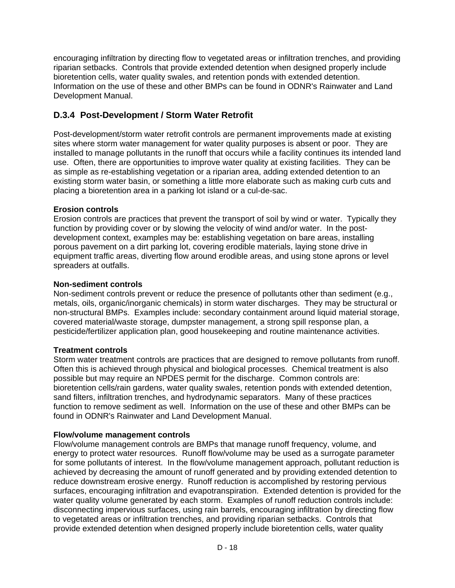encouraging infiltration by directing flow to vegetated areas or infiltration trenches, and providing riparian setbacks. Controls that provide extended detention when designed properly include bioretention cells, water quality swales, and retention ponds with extended detention. Information on the use of these and other BMPs can be found in ODNR's Rainwater and Land Development Manual.

## **D.3.4 Post-Development / Storm Water Retrofit**

Post-development/storm water retrofit controls are permanent improvements made at existing sites where storm water management for water quality purposes is absent or poor. They are installed to manage pollutants in the runoff that occurs while a facility continues its intended land use. Often, there are opportunities to improve water quality at existing facilities. They can be as simple as re-establishing vegetation or a riparian area, adding extended detention to an existing storm water basin, or something a little more elaborate such as making curb cuts and placing a bioretention area in a parking lot island or a cul-de-sac.

## **Erosion controls**

Erosion controls are practices that prevent the transport of soil by wind or water. Typically they function by providing cover or by slowing the velocity of wind and/or water. In the postdevelopment context, examples may be: establishing vegetation on bare areas, installing porous pavement on a dirt parking lot, covering erodible materials, laying stone drive in equipment traffic areas, diverting flow around erodible areas, and using stone aprons or level spreaders at outfalls.

## **Non-sediment controls**

Non-sediment controls prevent or reduce the presence of pollutants other than sediment (e.g., metals, oils, organic/inorganic chemicals) in storm water discharges. They may be structural or non-structural BMPs. Examples include: secondary containment around liquid material storage, covered material/waste storage, dumpster management, a strong spill response plan, a pesticide/fertilizer application plan, good housekeeping and routine maintenance activities.

## **Treatment controls**

Storm water treatment controls are practices that are designed to remove pollutants from runoff. Often this is achieved through physical and biological processes. Chemical treatment is also possible but may require an NPDES permit for the discharge. Common controls are: bioretention cells/rain gardens, water quality swales, retention ponds with extended detention, sand filters, infiltration trenches, and hydrodynamic separators. Many of these practices function to remove sediment as well. Information on the use of these and other BMPs can be found in ODNR's Rainwater and Land Development Manual.

## **Flow/volume management controls**

Flow/volume management controls are BMPs that manage runoff frequency, volume, and energy to protect water resources. Runoff flow/volume may be used as a surrogate parameter for some pollutants of interest. In the flow/volume management approach, pollutant reduction is achieved by decreasing the amount of runoff generated and by providing extended detention to reduce downstream erosive energy. Runoff reduction is accomplished by restoring pervious surfaces, encouraging infiltration and evapotranspiration. Extended detention is provided for the water quality volume generated by each storm. Examples of runoff reduction controls include: disconnecting impervious surfaces, using rain barrels, encouraging infiltration by directing flow to vegetated areas or infiltration trenches, and providing riparian setbacks. Controls that provide extended detention when designed properly include bioretention cells, water quality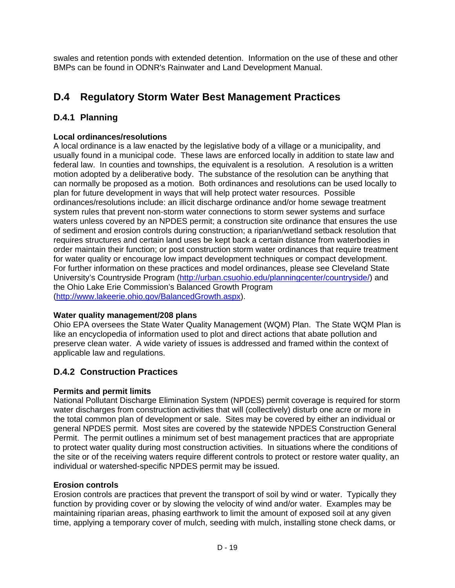swales and retention ponds with extended detention. Information on the use of these and other BMPs can be found in ODNR's Rainwater and Land Development Manual.

# **D.4 Regulatory Storm Water Best Management Practices**

## **D.4.1 Planning**

## **Local ordinances/resolutions**

A local ordinance is a law enacted by the legislative body of a village or a municipality, and usually found in a municipal code. These laws are enforced locally in addition to state law and federal law. In counties and townships, the equivalent is a resolution. A resolution is a written motion adopted by a deliberative body. The substance of the resolution can be anything that can normally be proposed as a motion. Both ordinances and resolutions can be used locally to plan for future development in ways that will help protect water resources. Possible ordinances/resolutions include: an illicit discharge ordinance and/or home sewage treatment system rules that prevent non-storm water connections to storm sewer systems and surface waters unless covered by an NPDES permit; a construction site ordinance that ensures the use of sediment and erosion controls during construction; a riparian/wetland setback resolution that requires structures and certain land uses be kept back a certain distance from waterbodies in order maintain their function; or post construction storm water ordinances that require treatment for water quality or encourage low impact development techniques or compact development. For further information on these practices and model ordinances, please see Cleveland State University's Countryside Program (http://urban.csuohio.edu/planningcenter/countryside/) and the Ohio Lake Erie Commission's Balanced Growth Program (http://www.lakeerie.ohio.gov/BalancedGrowth.aspx).

## **Water quality management/208 plans**

Ohio EPA oversees the State Water Quality Management (WQM) Plan. The State WQM Plan is like an encyclopedia of information used to plot and direct actions that abate pollution and preserve clean water. A wide variety of issues is addressed and framed within the context of applicable law and regulations.

## **D.4.2 Construction Practices**

## **Permits and permit limits**

National Pollutant Discharge Elimination System (NPDES) permit coverage is required for storm water discharges from construction activities that will (collectively) disturb one acre or more in the total common plan of development or sale. Sites may be covered by either an individual or general NPDES permit. Most sites are covered by the statewide NPDES Construction General Permit. The permit outlines a minimum set of best management practices that are appropriate to protect water quality during most construction activities. In situations where the conditions of the site or of the receiving waters require different controls to protect or restore water quality, an individual or watershed-specific NPDES permit may be issued.

#### **Erosion controls**

Erosion controls are practices that prevent the transport of soil by wind or water. Typically they function by providing cover or by slowing the velocity of wind and/or water. Examples may be maintaining riparian areas, phasing earthwork to limit the amount of exposed soil at any given time, applying a temporary cover of mulch, seeding with mulch, installing stone check dams, or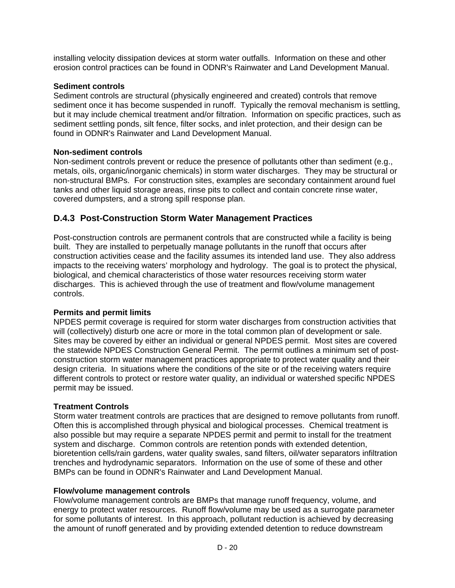installing velocity dissipation devices at storm water outfalls. Information on these and other erosion control practices can be found in ODNR's Rainwater and Land Development Manual.

### **Sediment controls**

Sediment controls are structural (physically engineered and created) controls that remove sediment once it has become suspended in runoff. Typically the removal mechanism is settling, but it may include chemical treatment and/or filtration. Information on specific practices, such as sediment settling ponds, silt fence, filter socks, and inlet protection, and their design can be found in ODNR's Rainwater and Land Development Manual.

## **Non-sediment controls**

Non-sediment controls prevent or reduce the presence of pollutants other than sediment (e.g., metals, oils, organic/inorganic chemicals) in storm water discharges. They may be structural or non-structural BMPs. For construction sites, examples are secondary containment around fuel tanks and other liquid storage areas, rinse pits to collect and contain concrete rinse water, covered dumpsters, and a strong spill response plan.

## **D.4.3 Post-Construction Storm Water Management Practices**

Post-construction controls are permanent controls that are constructed while a facility is being built. They are installed to perpetually manage pollutants in the runoff that occurs after construction activities cease and the facility assumes its intended land use. They also address impacts to the receiving waters' morphology and hydrology. The goal is to protect the physical, biological, and chemical characteristics of those water resources receiving storm water discharges. This is achieved through the use of treatment and flow/volume management controls.

#### **Permits and permit limits**

NPDES permit coverage is required for storm water discharges from construction activities that will (collectively) disturb one acre or more in the total common plan of development or sale. Sites may be covered by either an individual or general NPDES permit. Most sites are covered the statewide NPDES Construction General Permit. The permit outlines a minimum set of postconstruction storm water management practices appropriate to protect water quality and their design criteria. In situations where the conditions of the site or of the receiving waters require different controls to protect or restore water quality, an individual or watershed specific NPDES permit may be issued.

## **Treatment Controls**

Storm water treatment controls are practices that are designed to remove pollutants from runoff. Often this is accomplished through physical and biological processes. Chemical treatment is also possible but may require a separate NPDES permit and permit to install for the treatment system and discharge. Common controls are retention ponds with extended detention, bioretention cells/rain gardens, water quality swales, sand filters, oil/water separators infiltration trenches and hydrodynamic separators. Information on the use of some of these and other BMPs can be found in ODNR's Rainwater and Land Development Manual.

#### **Flow/volume management controls**

Flow/volume management controls are BMPs that manage runoff frequency, volume, and energy to protect water resources. Runoff flow/volume may be used as a surrogate parameter for some pollutants of interest. In this approach, pollutant reduction is achieved by decreasing the amount of runoff generated and by providing extended detention to reduce downstream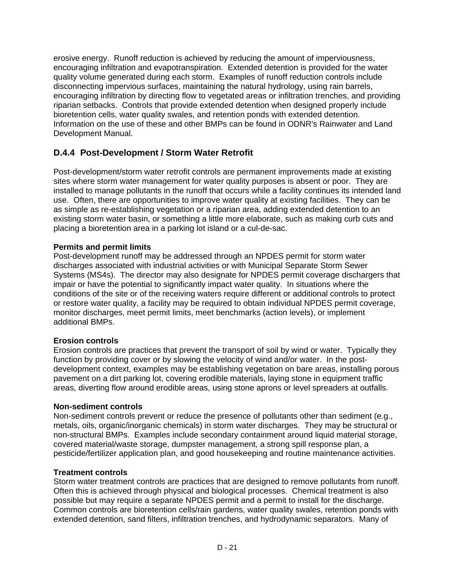erosive energy. Runoff reduction is achieved by reducing the amount of imperviousness, encouraging infiltration and evapotranspiration. Extended detention is provided for the water quality volume generated during each storm. Examples of runoff reduction controls include disconnecting impervious surfaces, maintaining the natural hydrology, using rain barrels, encouraging infiltration by directing flow to vegetated areas or infiltration trenches, and providing riparian setbacks. Controls that provide extended detention when designed properly include bioretention cells, water quality swales, and retention ponds with extended detention. Information on the use of these and other BMPs can be found in ODNR's Rainwater and Land Development Manual.

## **D.4.4 Post-Development / Storm Water Retrofit**

Post-development/storm water retrofit controls are permanent improvements made at existing sites where storm water management for water quality purposes is absent or poor. They are installed to manage pollutants in the runoff that occurs while a facility continues its intended land use. Often, there are opportunities to improve water quality at existing facilities. They can be as simple as re-establishing vegetation or a riparian area, adding extended detention to an existing storm water basin, or something a little more elaborate, such as making curb cuts and placing a bioretention area in a parking lot island or a cul-de-sac.

## **Permits and permit limits**

Post-development runoff may be addressed through an NPDES permit for storm water discharges associated with industrial activities or with Municipal Separate Storm Sewer Systems (MS4s). The director may also designate for NPDES permit coverage dischargers that impair or have the potential to significantly impact water quality. In situations where the conditions of the site or of the receiving waters require different or additional controls to protect or restore water quality, a facility may be required to obtain individual NPDES permit coverage, monitor discharges, meet permit limits, meet benchmarks (action levels), or implement additional BMPs.

#### **Erosion controls**

Erosion controls are practices that prevent the transport of soil by wind or water. Typically they function by providing cover or by slowing the velocity of wind and/or water. In the postdevelopment context, examples may be establishing vegetation on bare areas, installing porous pavement on a dirt parking lot, covering erodible materials, laying stone in equipment traffic areas, diverting flow around erodible areas, using stone aprons or level spreaders at outfalls.

#### **Non-sediment controls**

Non-sediment controls prevent or reduce the presence of pollutants other than sediment (e.g., metals, oils, organic/inorganic chemicals) in storm water discharges. They may be structural or non-structural BMPs. Examples include secondary containment around liquid material storage, covered material/waste storage, dumpster management, a strong spill response plan, a pesticide/fertilizer application plan, and good housekeeping and routine maintenance activities.

#### **Treatment controls**

Storm water treatment controls are practices that are designed to remove pollutants from runoff. Often this is achieved through physical and biological processes. Chemical treatment is also possible but may require a separate NPDES permit and a permit to install for the discharge. Common controls are bioretention cells/rain gardens, water quality swales, retention ponds with extended detention, sand filters, infiltration trenches, and hydrodynamic separators. Many of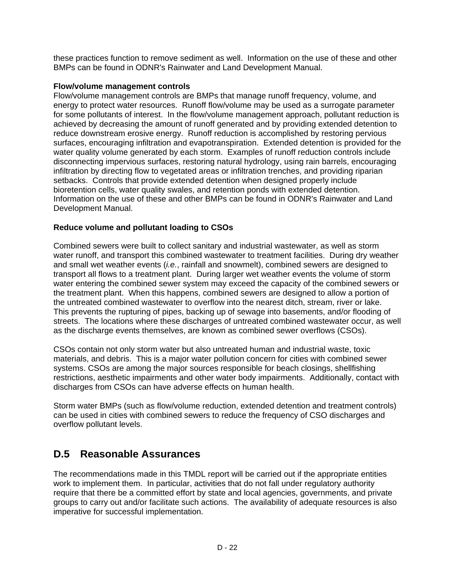these practices function to remove sediment as well. Information on the use of these and other BMPs can be found in ODNR's Rainwater and Land Development Manual.

#### **Flow/volume management controls**

Flow/volume management controls are BMPs that manage runoff frequency, volume, and energy to protect water resources. Runoff flow/volume may be used as a surrogate parameter for some pollutants of interest. In the flow/volume management approach, pollutant reduction is achieved by decreasing the amount of runoff generated and by providing extended detention to reduce downstream erosive energy. Runoff reduction is accomplished by restoring pervious surfaces, encouraging infiltration and evapotranspiration. Extended detention is provided for the water quality volume generated by each storm. Examples of runoff reduction controls include disconnecting impervious surfaces, restoring natural hydrology, using rain barrels, encouraging infiltration by directing flow to vegetated areas or infiltration trenches, and providing riparian setbacks. Controls that provide extended detention when designed properly include bioretention cells, water quality swales, and retention ponds with extended detention. Information on the use of these and other BMPs can be found in ODNR's Rainwater and Land Development Manual.

## **Reduce volume and pollutant loading to CSOs**

Combined sewers were built to collect sanitary and industrial wastewater, as well as storm water runoff, and transport this combined wastewater to treatment facilities. During dry weather and small wet weather events (*i.e.*, rainfall and snowmelt), combined sewers are designed to transport all flows to a treatment plant. During larger wet weather events the volume of storm water entering the combined sewer system may exceed the capacity of the combined sewers or the treatment plant. When this happens, combined sewers are designed to allow a portion of the untreated combined wastewater to overflow into the nearest ditch, stream, river or lake. This prevents the rupturing of pipes, backing up of sewage into basements, and/or flooding of streets. The locations where these discharges of untreated combined wastewater occur, as well as the discharge events themselves, are known as combined sewer overflows (CSOs).

CSOs contain not only storm water but also untreated human and industrial waste, toxic materials, and debris. This is a major water pollution concern for cities with combined sewer systems. CSOs are among the major sources responsible for beach closings, shellfishing restrictions, aesthetic impairments and other water body impairments. Additionally, contact with discharges from CSOs can have adverse effects on human health.

Storm water BMPs (such as flow/volume reduction, extended detention and treatment controls) can be used in cities with combined sewers to reduce the frequency of CSO discharges and overflow pollutant levels.

# **D.5 Reasonable Assurances**

The recommendations made in this TMDL report will be carried out if the appropriate entities work to implement them. In particular, activities that do not fall under regulatory authority require that there be a committed effort by state and local agencies, governments, and private groups to carry out and/or facilitate such actions. The availability of adequate resources is also imperative for successful implementation.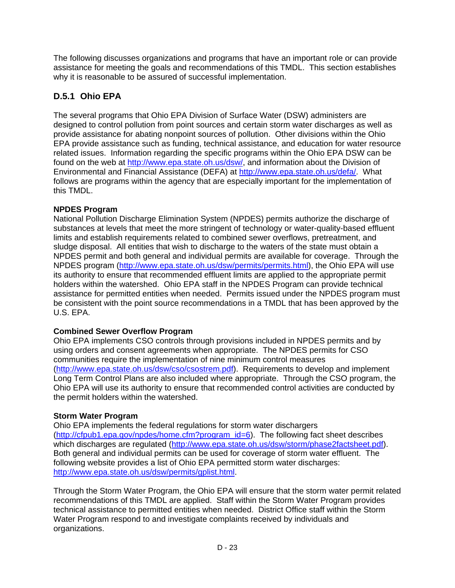The following discusses organizations and programs that have an important role or can provide assistance for meeting the goals and recommendations of this TMDL. This section establishes why it is reasonable to be assured of successful implementation.

## **D.5.1 Ohio EPA**

The several programs that Ohio EPA Division of Surface Water (DSW) administers are designed to control pollution from point sources and certain storm water discharges as well as provide assistance for abating nonpoint sources of pollution. Other divisions within the Ohio EPA provide assistance such as funding, technical assistance, and education for water resource related issues. Information regarding the specific programs within the Ohio EPA DSW can be found on the web at http://www.epa.state.oh.us/dsw/, and information about the Division of Environmental and Financial Assistance (DEFA) at http://www.epa.state.oh.us/defa/. What follows are programs within the agency that are especially important for the implementation of this TMDL.

## **NPDES Program**

National Pollution Discharge Elimination System (NPDES) permits authorize the discharge of substances at levels that meet the more stringent of technology or water-quality-based effluent limits and establish requirements related to combined sewer overflows, pretreatment, and sludge disposal. All entities that wish to discharge to the waters of the state must obtain a NPDES permit and both general and individual permits are available for coverage. Through the NPDES program (http://www.epa.state.oh.us/dsw/permits/permits.html), the Ohio EPA will use its authority to ensure that recommended effluent limits are applied to the appropriate permit holders within the watershed. Ohio EPA staff in the NPDES Program can provide technical assistance for permitted entities when needed. Permits issued under the NPDES program must be consistent with the point source recommendations in a TMDL that has been approved by the U.S. EPA.

## **Combined Sewer Overflow Program**

Ohio EPA implements CSO controls through provisions included in NPDES permits and by using orders and consent agreements when appropriate. The NPDES permits for CSO communities require the implementation of nine minimum control measures (http://www.epa.state.oh.us/dsw/cso/csostrem.pdf). Requirements to develop and implement Long Term Control Plans are also included where appropriate. Through the CSO program, the Ohio EPA will use its authority to ensure that recommended control activities are conducted by the permit holders within the watershed.

## **Storm Water Program**

Ohio EPA implements the federal regulations for storm water dischargers (http://cfpub1.epa.gov/npdes/home.cfm?program\_id=6). The following fact sheet describes which discharges are regulated (http://www.epa.state.oh.us/dsw/storm/phase2factsheet.pdf). Both general and individual permits can be used for coverage of storm water effluent. The following website provides a list of Ohio EPA permitted storm water discharges: http://www.epa.state.oh.us/dsw/permits/gplist.html.

Through the Storm Water Program, the Ohio EPA will ensure that the storm water permit related recommendations of this TMDL are applied. Staff within the Storm Water Program provides technical assistance to permitted entities when needed. District Office staff within the Storm Water Program respond to and investigate complaints received by individuals and organizations.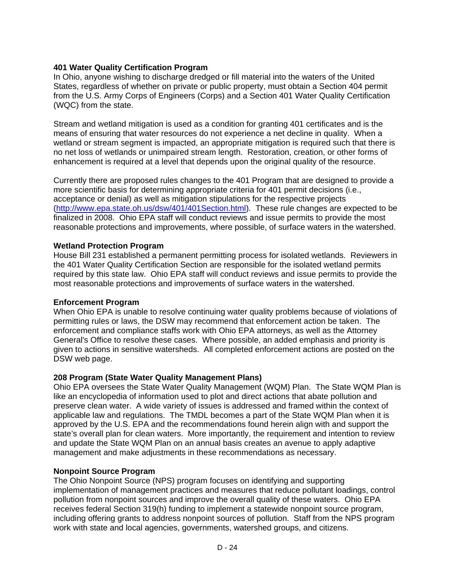### **401 Water Quality Certification Program**

In Ohio, anyone wishing to discharge dredged or fill material into the waters of the United States, regardless of whether on private or public property, must obtain a Section 404 permit from the U.S. Army Corps of Engineers (Corps) and a Section 401 Water Quality Certification (WQC) from the state.

Stream and wetland mitigation is used as a condition for granting 401 certificates and is the means of ensuring that water resources do not experience a net decline in quality. When a wetland or stream segment is impacted, an appropriate mitigation is required such that there is no net loss of wetlands or unimpaired stream length. Restoration, creation, or other forms of enhancement is required at a level that depends upon the original quality of the resource.

Currently there are proposed rules changes to the 401 Program that are designed to provide a more scientific basis for determining appropriate criteria for 401 permit decisions (i.e., acceptance or denial) as well as mitigation stipulations for the respective projects (http://www.epa.state.oh.us/dsw/401/401Section.html). These rule changes are expected to be finalized in 2008. Ohio EPA staff will conduct reviews and issue permits to provide the most reasonable protections and improvements, where possible, of surface waters in the watershed.

#### **Wetland Protection Program**

House Bill 231 established a permanent permitting process for isolated wetlands. Reviewers in the 401 Water Quality Certification Section are responsible for the isolated wetland permits required by this state law. Ohio EPA staff will conduct reviews and issue permits to provide the most reasonable protections and improvements of surface waters in the watershed.

#### **Enforcement Program**

When Ohio EPA is unable to resolve continuing water quality problems because of violations of permitting rules or laws, the DSW may recommend that enforcement action be taken. The enforcement and compliance staffs work with Ohio EPA attorneys, as well as the Attorney General's Office to resolve these cases. Where possible, an added emphasis and priority is given to actions in sensitive watersheds. All completed enforcement actions are posted on the DSW web page.

#### **208 Program (State Water Quality Management Plans)**

Ohio EPA oversees the State Water Quality Management (WQM) Plan. The State WQM Plan is like an encyclopedia of information used to plot and direct actions that abate pollution and preserve clean water. A wide variety of issues is addressed and framed within the context of applicable law and regulations. The TMDL becomes a part of the State WQM Plan when it is approved by the U.S. EPA and the recommendations found herein align with and support the state's overall plan for clean waters. More importantly, the requirement and intention to review and update the State WQM Plan on an annual basis creates an avenue to apply adaptive management and make adjustments in these recommendations as necessary.

#### **Nonpoint Source Program**

The Ohio Nonpoint Source (NPS) program focuses on identifying and supporting implementation of management practices and measures that reduce pollutant loadings, control pollution from nonpoint sources and improve the overall quality of these waters. Ohio EPA receives federal Section 319(h) funding to implement a statewide nonpoint source program, including offering grants to address nonpoint sources of pollution. Staff from the NPS program work with state and local agencies, governments, watershed groups, and citizens.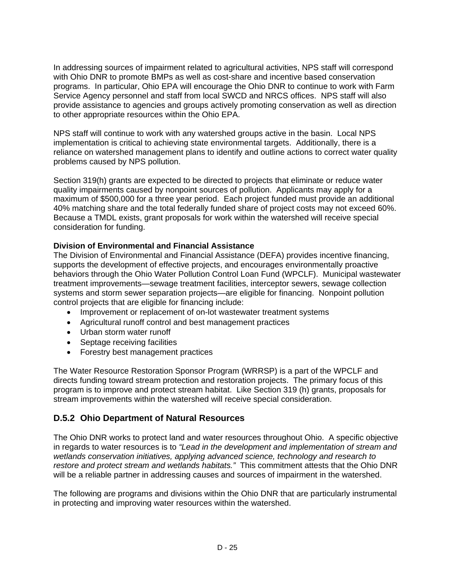In addressing sources of impairment related to agricultural activities, NPS staff will correspond with Ohio DNR to promote BMPs as well as cost-share and incentive based conservation programs. In particular, Ohio EPA will encourage the Ohio DNR to continue to work with Farm Service Agency personnel and staff from local SWCD and NRCS offices. NPS staff will also provide assistance to agencies and groups actively promoting conservation as well as direction to other appropriate resources within the Ohio EPA.

NPS staff will continue to work with any watershed groups active in the basin. Local NPS implementation is critical to achieving state environmental targets. Additionally, there is a reliance on watershed management plans to identify and outline actions to correct water quality problems caused by NPS pollution.

Section 319(h) grants are expected to be directed to projects that eliminate or reduce water quality impairments caused by nonpoint sources of pollution. Applicants may apply for a maximum of \$500,000 for a three year period. Each project funded must provide an additional 40% matching share and the total federally funded share of project costs may not exceed 60%. Because a TMDL exists, grant proposals for work within the watershed will receive special consideration for funding.

## **Division of Environmental and Financial Assistance**

The Division of Environmental and Financial Assistance (DEFA) provides incentive financing, supports the development of effective projects, and encourages environmentally proactive behaviors through the Ohio Water Pollution Control Loan Fund (WPCLF). Municipal wastewater treatment improvements—sewage treatment facilities, interceptor sewers, sewage collection systems and storm sewer separation projects—are eligible for financing. Nonpoint pollution control projects that are eligible for financing include:

- Improvement or replacement of on-lot wastewater treatment systems
- Agricultural runoff control and best management practices
- Urban storm water runoff
- Septage receiving facilities
- Forestry best management practices

The Water Resource Restoration Sponsor Program (WRRSP) is a part of the WPCLF and directs funding toward stream protection and restoration projects. The primary focus of this program is to improve and protect stream habitat. Like Section 319 (h) grants, proposals for stream improvements within the watershed will receive special consideration.

## **D.5.2 Ohio Department of Natural Resources**

The Ohio DNR works to protect land and water resources throughout Ohio. A specific objective in regards to water resources is to *"Lead in the development and implementation of stream and wetlands conservation initiatives, applying advanced science, technology and research to restore and protect stream and wetlands habitats."* This commitment attests that the Ohio DNR will be a reliable partner in addressing causes and sources of impairment in the watershed.

The following are programs and divisions within the Ohio DNR that are particularly instrumental in protecting and improving water resources within the watershed.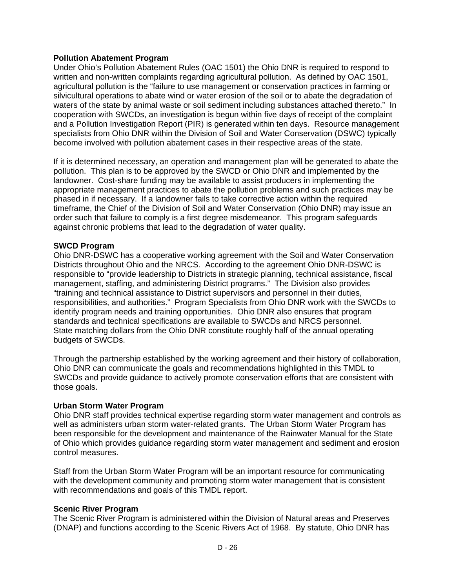#### **Pollution Abatement Program**

Under Ohio's Pollution Abatement Rules (OAC 1501) the Ohio DNR is required to respond to written and non-written complaints regarding agricultural pollution. As defined by OAC 1501, agricultural pollution is the "failure to use management or conservation practices in farming or silvicultural operations to abate wind or water erosion of the soil or to abate the degradation of waters of the state by animal waste or soil sediment including substances attached thereto." In cooperation with SWCDs, an investigation is begun within five days of receipt of the complaint and a Pollution Investigation Report (PIR) is generated within ten days. Resource management specialists from Ohio DNR within the Division of Soil and Water Conservation (DSWC) typically become involved with pollution abatement cases in their respective areas of the state.

If it is determined necessary, an operation and management plan will be generated to abate the pollution. This plan is to be approved by the SWCD or Ohio DNR and implemented by the landowner. Cost-share funding may be available to assist producers in implementing the appropriate management practices to abate the pollution problems and such practices may be phased in if necessary. If a landowner fails to take corrective action within the required timeframe, the Chief of the Division of Soil and Water Conservation (Ohio DNR) may issue an order such that failure to comply is a first degree misdemeanor. This program safeguards against chronic problems that lead to the degradation of water quality.

#### **SWCD Program**

Ohio DNR-DSWC has a cooperative working agreement with the Soil and Water Conservation Districts throughout Ohio and the NRCS. According to the agreement Ohio DNR-DSWC is responsible to "provide leadership to Districts in strategic planning, technical assistance, fiscal management, staffing, and administering District programs." The Division also provides "training and technical assistance to District supervisors and personnel in their duties, responsibilities, and authorities." Program Specialists from Ohio DNR work with the SWCDs to identify program needs and training opportunities. Ohio DNR also ensures that program standards and technical specifications are available to SWCDs and NRCS personnel. State matching dollars from the Ohio DNR constitute roughly half of the annual operating budgets of SWCDs.

Through the partnership established by the working agreement and their history of collaboration, Ohio DNR can communicate the goals and recommendations highlighted in this TMDL to SWCDs and provide guidance to actively promote conservation efforts that are consistent with those goals.

#### **Urban Storm Water Program**

Ohio DNR staff provides technical expertise regarding storm water management and controls as well as administers urban storm water-related grants. The Urban Storm Water Program has been responsible for the development and maintenance of the Rainwater Manual for the State of Ohio which provides guidance regarding storm water management and sediment and erosion control measures.

Staff from the Urban Storm Water Program will be an important resource for communicating with the development community and promoting storm water management that is consistent with recommendations and goals of this TMDL report.

#### **Scenic River Program**

The Scenic River Program is administered within the Division of Natural areas and Preserves (DNAP) and functions according to the Scenic Rivers Act of 1968. By statute, Ohio DNR has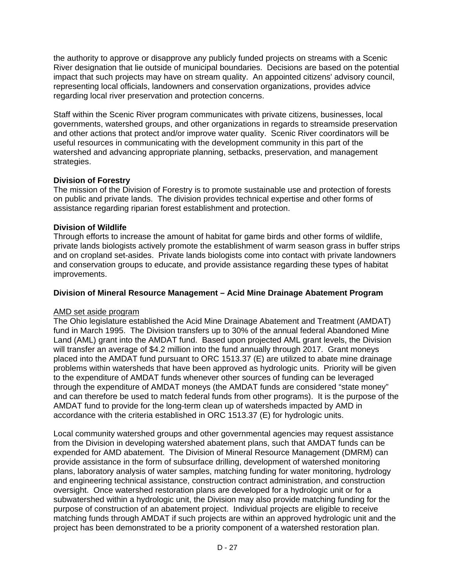the authority to approve or disapprove any publicly funded projects on streams with a Scenic River designation that lie outside of municipal boundaries. Decisions are based on the potential impact that such projects may have on stream quality. An appointed citizens' advisory council, representing local officials, landowners and conservation organizations, provides advice regarding local river preservation and protection concerns.

Staff within the Scenic River program communicates with private citizens, businesses, local governments, watershed groups, and other organizations in regards to streamside preservation and other actions that protect and/or improve water quality. Scenic River coordinators will be useful resources in communicating with the development community in this part of the watershed and advancing appropriate planning, setbacks, preservation, and management strategies.

## **Division of Forestry**

The mission of the Division of Forestry is to promote sustainable use and protection of forests on public and private lands. The division provides technical expertise and other forms of assistance regarding riparian forest establishment and protection.

## **Division of Wildlife**

Through efforts to increase the amount of habitat for game birds and other forms of wildlife, private lands biologists actively promote the establishment of warm season grass in buffer strips and on cropland set-asides. Private lands biologists come into contact with private landowners and conservation groups to educate, and provide assistance regarding these types of habitat improvements.

## **Division of Mineral Resource Management – Acid Mine Drainage Abatement Program**

#### AMD set aside program

The Ohio legislature established the Acid Mine Drainage Abatement and Treatment (AMDAT) fund in March 1995. The Division transfers up to 30% of the annual federal Abandoned Mine Land (AML) grant into the AMDAT fund. Based upon projected AML grant levels, the Division will transfer an average of \$4.2 million into the fund annually through 2017. Grant moneys placed into the AMDAT fund pursuant to ORC 1513.37 (E) are utilized to abate mine drainage problems within watersheds that have been approved as hydrologic units. Priority will be given to the expenditure of AMDAT funds whenever other sources of funding can be leveraged through the expenditure of AMDAT moneys (the AMDAT funds are considered "state money" and can therefore be used to match federal funds from other programs). It is the purpose of the AMDAT fund to provide for the long-term clean up of watersheds impacted by AMD in accordance with the criteria established in ORC 1513.37 (E) for hydrologic units.

Local community watershed groups and other governmental agencies may request assistance from the Division in developing watershed abatement plans, such that AMDAT funds can be expended for AMD abatement. The Division of Mineral Resource Management (DMRM) can provide assistance in the form of subsurface drilling, development of watershed monitoring plans, laboratory analysis of water samples, matching funding for water monitoring, hydrology and engineering technical assistance, construction contract administration, and construction oversight. Once watershed restoration plans are developed for a hydrologic unit or for a subwatershed within a hydrologic unit, the Division may also provide matching funding for the purpose of construction of an abatement project. Individual projects are eligible to receive matching funds through AMDAT if such projects are within an approved hydrologic unit and the project has been demonstrated to be a priority component of a watershed restoration plan.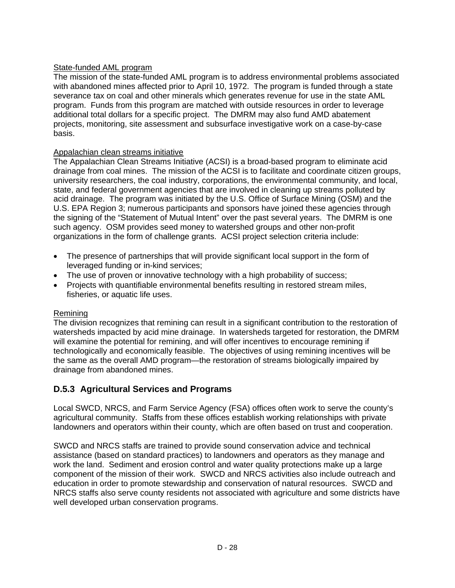## State-funded AML program

The mission of the state-funded AML program is to address environmental problems associated with abandoned mines affected prior to April 10, 1972. The program is funded through a state severance tax on coal and other minerals which generates revenue for use in the state AML program. Funds from this program are matched with outside resources in order to leverage additional total dollars for a specific project. The DMRM may also fund AMD abatement projects, monitoring, site assessment and subsurface investigative work on a case-by-case basis.

## Appalachian clean streams initiative

The Appalachian Clean Streams Initiative (ACSI) is a broad-based program to eliminate acid drainage from coal mines. The mission of the ACSI is to facilitate and coordinate citizen groups, university researchers, the coal industry, corporations, the environmental community, and local, state, and federal government agencies that are involved in cleaning up streams polluted by acid drainage. The program was initiated by the U.S. Office of Surface Mining (OSM) and the U.S. EPA Region 3; numerous participants and sponsors have joined these agencies through the signing of the "Statement of Mutual Intent" over the past several years. The DMRM is one such agency. OSM provides seed money to watershed groups and other non-profit organizations in the form of challenge grants. ACSI project selection criteria include:

- The presence of partnerships that will provide significant local support in the form of leveraged funding or in-kind services;
- The use of proven or innovative technology with a high probability of success;
- Projects with quantifiable environmental benefits resulting in restored stream miles, fisheries, or aquatic life uses.

## Remining

The division recognizes that remining can result in a significant contribution to the restoration of watersheds impacted by acid mine drainage. In watersheds targeted for restoration, the DMRM will examine the potential for remining, and will offer incentives to encourage remining if technologically and economically feasible. The objectives of using remining incentives will be the same as the overall AMD program—the restoration of streams biologically impaired by drainage from abandoned mines.

## **D.5.3 Agricultural Services and Programs**

Local SWCD, NRCS, and Farm Service Agency (FSA) offices often work to serve the county's agricultural community. Staffs from these offices establish working relationships with private landowners and operators within their county, which are often based on trust and cooperation.

SWCD and NRCS staffs are trained to provide sound conservation advice and technical assistance (based on standard practices) to landowners and operators as they manage and work the land. Sediment and erosion control and water quality protections make up a large component of the mission of their work. SWCD and NRCS activities also include outreach and education in order to promote stewardship and conservation of natural resources. SWCD and NRCS staffs also serve county residents not associated with agriculture and some districts have well developed urban conservation programs.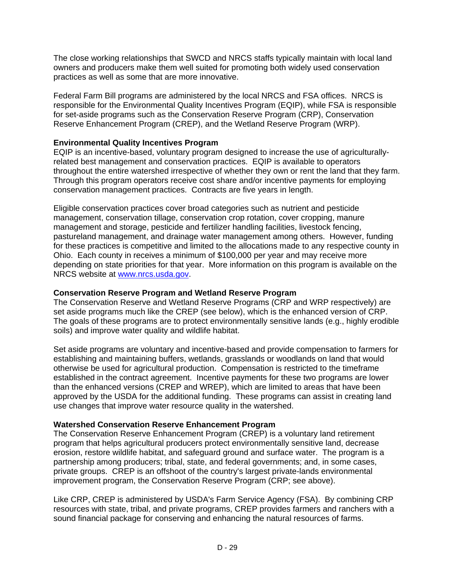The close working relationships that SWCD and NRCS staffs typically maintain with local land owners and producers make them well suited for promoting both widely used conservation practices as well as some that are more innovative.

Federal Farm Bill programs are administered by the local NRCS and FSA offices. NRCS is responsible for the Environmental Quality Incentives Program (EQIP), while FSA is responsible for set-aside programs such as the Conservation Reserve Program (CRP), Conservation Reserve Enhancement Program (CREP), and the Wetland Reserve Program (WRP).

### **Environmental Quality Incentives Program**

EQIP is an incentive-based, voluntary program designed to increase the use of agriculturallyrelated best management and conservation practices. EQIP is available to operators throughout the entire watershed irrespective of whether they own or rent the land that they farm. Through this program operators receive cost share and/or incentive payments for employing conservation management practices. Contracts are five years in length.

Eligible conservation practices cover broad categories such as nutrient and pesticide management, conservation tillage, conservation crop rotation, cover cropping, manure management and storage, pesticide and fertilizer handling facilities, livestock fencing, pastureland management, and drainage water management among others. However, funding for these practices is competitive and limited to the allocations made to any respective county in Ohio. Each county in receives a minimum of \$100,000 per year and may receive more depending on state priorities for that year. More information on this program is available on the NRCS website at www.nrcs.usda.gov.

### **Conservation Reserve Program and Wetland Reserve Program**

The Conservation Reserve and Wetland Reserve Programs (CRP and WRP respectively) are set aside programs much like the CREP (see below), which is the enhanced version of CRP. The goals of these programs are to protect environmentally sensitive lands (e.g., highly erodible soils) and improve water quality and wildlife habitat.

Set aside programs are voluntary and incentive-based and provide compensation to farmers for establishing and maintaining buffers, wetlands, grasslands or woodlands on land that would otherwise be used for agricultural production. Compensation is restricted to the timeframe established in the contract agreement. Incentive payments for these two programs are lower than the enhanced versions (CREP and WREP), which are limited to areas that have been approved by the USDA for the additional funding. These programs can assist in creating land use changes that improve water resource quality in the watershed.

## **Watershed Conservation Reserve Enhancement Program**

The Conservation Reserve Enhancement Program (CREP) is a voluntary land retirement program that helps agricultural producers protect environmentally sensitive land, decrease erosion, restore wildlife habitat, and safeguard ground and surface water. The program is a partnership among producers; tribal, state, and federal governments; and, in some cases, private groups. CREP is an offshoot of the country's largest private-lands environmental improvement program, the Conservation Reserve Program (CRP; see above).

Like CRP, CREP is administered by USDA's Farm Service Agency (FSA). By combining CRP resources with state, tribal, and private programs, CREP provides farmers and ranchers with a sound financial package for conserving and enhancing the natural resources of farms.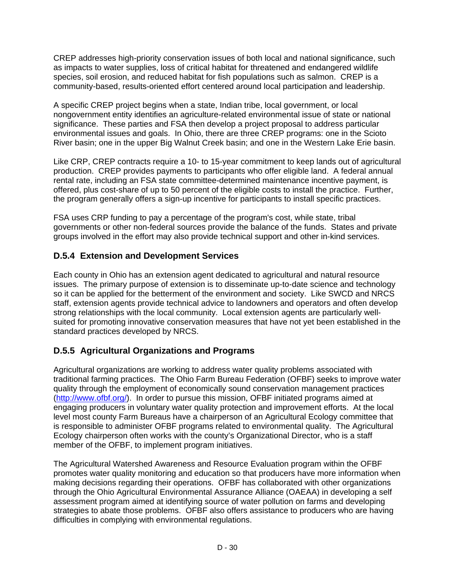CREP addresses high-priority conservation issues of both local and national significance, such as impacts to water supplies, loss of critical habitat for threatened and endangered wildlife species, soil erosion, and reduced habitat for fish populations such as salmon. CREP is a community-based, results-oriented effort centered around local participation and leadership.

A specific CREP project begins when a state, Indian tribe, local government, or local nongovernment entity identifies an agriculture-related environmental issue of state or national significance. These parties and FSA then develop a project proposal to address particular environmental issues and goals. In Ohio, there are three CREP programs: one in the Scioto River basin; one in the upper Big Walnut Creek basin; and one in the Western Lake Erie basin.

Like CRP, CREP contracts require a 10- to 15-year commitment to keep lands out of agricultural production. CREP provides payments to participants who offer eligible land. A federal annual rental rate, including an FSA state committee-determined maintenance incentive payment, is offered, plus cost-share of up to 50 percent of the eligible costs to install the practice. Further, the program generally offers a sign-up incentive for participants to install specific practices.

FSA uses CRP funding to pay a percentage of the program's cost, while state, tribal governments or other non-federal sources provide the balance of the funds. States and private groups involved in the effort may also provide technical support and other in-kind services.

## **D.5.4 Extension and Development Services**

Each county in Ohio has an extension agent dedicated to agricultural and natural resource issues. The primary purpose of extension is to disseminate up-to-date science and technology so it can be applied for the betterment of the environment and society. Like SWCD and NRCS staff, extension agents provide technical advice to landowners and operators and often develop strong relationships with the local community. Local extension agents are particularly wellsuited for promoting innovative conservation measures that have not yet been established in the standard practices developed by NRCS.

## **D.5.5 Agricultural Organizations and Programs**

Agricultural organizations are working to address water quality problems associated with traditional farming practices. The Ohio Farm Bureau Federation (OFBF) seeks to improve water quality through the employment of economically sound conservation management practices (http://www.ofbf.org/). In order to pursue this mission, OFBF initiated programs aimed at engaging producers in voluntary water quality protection and improvement efforts. At the local level most county Farm Bureaus have a chairperson of an Agricultural Ecology committee that is responsible to administer OFBF programs related to environmental quality. The Agricultural Ecology chairperson often works with the county's Organizational Director, who is a staff member of the OFBF, to implement program initiatives.

The Agricultural Watershed Awareness and Resource Evaluation program within the OFBF promotes water quality monitoring and education so that producers have more information when making decisions regarding their operations. OFBF has collaborated with other organizations through the Ohio Agricultural Environmental Assurance Alliance (OAEAA) in developing a self assessment program aimed at identifying source of water pollution on farms and developing strategies to abate those problems. OFBF also offers assistance to producers who are having difficulties in complying with environmental regulations.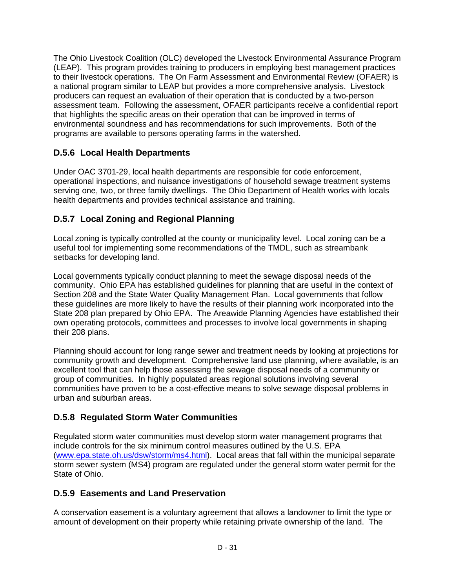The Ohio Livestock Coalition (OLC) developed the Livestock Environmental Assurance Program (LEAP). This program provides training to producers in employing best management practices to their livestock operations. The On Farm Assessment and Environmental Review (OFAER) is a national program similar to LEAP but provides a more comprehensive analysis. Livestock producers can request an evaluation of their operation that is conducted by a two-person assessment team. Following the assessment, OFAER participants receive a confidential report that highlights the specific areas on their operation that can be improved in terms of environmental soundness and has recommendations for such improvements. Both of the programs are available to persons operating farms in the watershed.

## **D.5.6 Local Health Departments**

Under OAC 3701-29, local health departments are responsible for code enforcement, operational inspections, and nuisance investigations of household sewage treatment systems serving one, two, or three family dwellings. The Ohio Department of Health works with locals health departments and provides technical assistance and training.

## **D.5.7 Local Zoning and Regional Planning**

Local zoning is typically controlled at the county or municipality level. Local zoning can be a useful tool for implementing some recommendations of the TMDL, such as streambank setbacks for developing land.

Local governments typically conduct planning to meet the sewage disposal needs of the community. Ohio EPA has established guidelines for planning that are useful in the context of Section 208 and the State Water Quality Management Plan. Local governments that follow these guidelines are more likely to have the results of their planning work incorporated into the State 208 plan prepared by Ohio EPA. The Areawide Planning Agencies have established their own operating protocols, committees and processes to involve local governments in shaping their 208 plans.

Planning should account for long range sewer and treatment needs by looking at projections for community growth and development. Comprehensive land use planning, where available, is an excellent tool that can help those assessing the sewage disposal needs of a community or group of communities. In highly populated areas regional solutions involving several communities have proven to be a cost-effective means to solve sewage disposal problems in urban and suburban areas.

## **D.5.8 Regulated Storm Water Communities**

Regulated storm water communities must develop storm water management programs that include controls for the six minimum control measures outlined by the U.S. EPA (www.epa.state.oh.us/dsw/storm/ms4.html). Local areas that fall within the municipal separate storm sewer system (MS4) program are regulated under the general storm water permit for the State of Ohio.

## **D.5.9 Easements and Land Preservation**

A conservation easement is a voluntary agreement that allows a landowner to limit the type or amount of development on their property while retaining private ownership of the land. The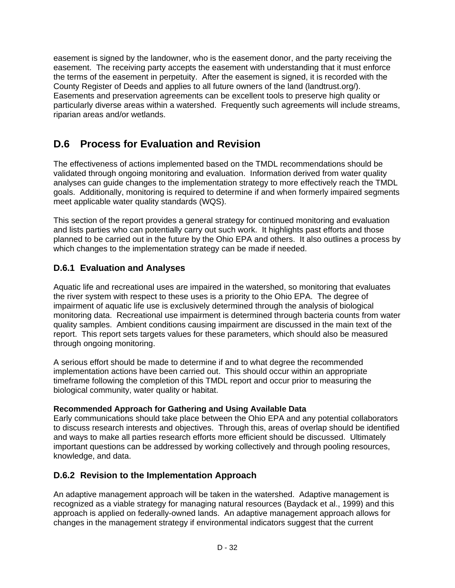easement is signed by the landowner, who is the easement donor, and the party receiving the easement. The receiving party accepts the easement with understanding that it must enforce the terms of the easement in perpetuity. After the easement is signed, it is recorded with the County Register of Deeds and applies to all future owners of the land (landtrust.org/). Easements and preservation agreements can be excellent tools to preserve high quality or particularly diverse areas within a watershed. Frequently such agreements will include streams, riparian areas and/or wetlands.

# **D.6 Process for Evaluation and Revision**

The effectiveness of actions implemented based on the TMDL recommendations should be validated through ongoing monitoring and evaluation. Information derived from water quality analyses can guide changes to the implementation strategy to more effectively reach the TMDL goals. Additionally, monitoring is required to determine if and when formerly impaired segments meet applicable water quality standards (WQS).

This section of the report provides a general strategy for continued monitoring and evaluation and lists parties who can potentially carry out such work. It highlights past efforts and those planned to be carried out in the future by the Ohio EPA and others. It also outlines a process by which changes to the implementation strategy can be made if needed.

## **D.6.1 Evaluation and Analyses**

Aquatic life and recreational uses are impaired in the watershed, so monitoring that evaluates the river system with respect to these uses is a priority to the Ohio EPA. The degree of impairment of aquatic life use is exclusively determined through the analysis of biological monitoring data. Recreational use impairment is determined through bacteria counts from water quality samples. Ambient conditions causing impairment are discussed in the main text of the report. This report sets targets values for these parameters, which should also be measured through ongoing monitoring.

A serious effort should be made to determine if and to what degree the recommended implementation actions have been carried out. This should occur within an appropriate timeframe following the completion of this TMDL report and occur prior to measuring the biological community, water quality or habitat.

## **Recommended Approach for Gathering and Using Available Data**

Early communications should take place between the Ohio EPA and any potential collaborators to discuss research interests and objectives. Through this, areas of overlap should be identified and ways to make all parties research efforts more efficient should be discussed. Ultimately important questions can be addressed by working collectively and through pooling resources, knowledge, and data.

## **D.6.2 Revision to the Implementation Approach**

An adaptive management approach will be taken in the watershed. Adaptive management is recognized as a viable strategy for managing natural resources (Baydack et al., 1999) and this approach is applied on federally-owned lands. An adaptive management approach allows for changes in the management strategy if environmental indicators suggest that the current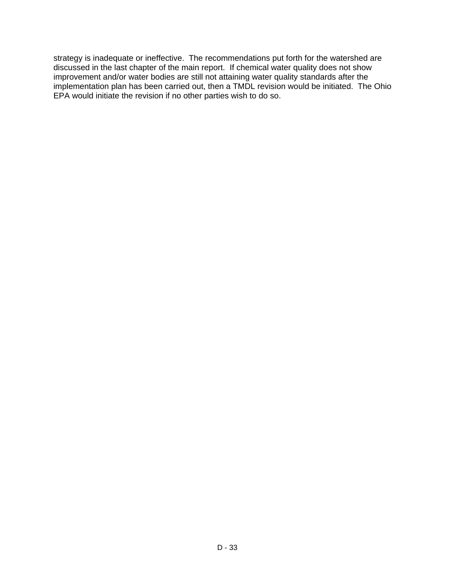strategy is inadequate or ineffective. The recommendations put forth for the watershed are discussed in the last chapter of the main report. If chemical water quality does not show improvement and/or water bodies are still not attaining water quality standards after the implementation plan has been carried out, then a TMDL revision would be initiated. The Ohio EPA would initiate the revision if no other parties wish to do so.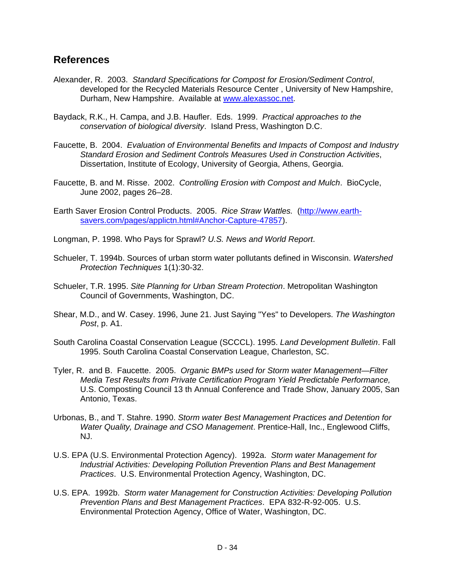## **References**

- Alexander, R. 2003. *Standard Specifications for Compost for Erosion/Sediment Control*, developed for the Recycled Materials Resource Center , University of New Hampshire, Durham, New Hampshire. Available at www.alexassoc.net.
- Baydack, R.K., H. Campa, and J.B. Haufler. Eds. 1999. *Practical approaches to the conservation of biological diversity*. Island Press, Washington D.C.
- Faucette, B. 2004. *Evaluation of Environmental Benefits and Impacts of Compost and Industry Standard Erosion and Sediment Controls Measures Used in Construction Activities*, Dissertation, Institute of Ecology, University of Georgia, Athens, Georgia.
- Faucette, B. and M. Risse. 2002. *Controlling Erosion with Compost and Mulch*. BioCycle, June 2002, pages 26–28.
- Earth Saver Erosion Control Products. 2005. *Rice Straw Wattles.* (http://www.earthsavers.com/pages/applictn.html#Anchor-Capture-47857).
- Longman, P. 1998. Who Pays for Sprawl? *U.S. News and World Report*.
- Schueler, T. 1994b. Sources of urban storm water pollutants defined in Wisconsin. *Watershed Protection Techniques* 1(1):30-32.
- Schueler, T.R. 1995. *Site Planning for Urban Stream Protection*. Metropolitan Washington Council of Governments, Washington, DC.
- Shear, M.D., and W. Casey. 1996, June 21. Just Saying "Yes" to Developers. *The Washington Post*, p. A1.
- South Carolina Coastal Conservation League (SCCCL). 1995. *Land Development Bulletin*. Fall 1995. South Carolina Coastal Conservation League, Charleston, SC.
- Tyler, R. and B. Faucette. 2005. *Organic BMPs used for Storm water Management—Filter Media Test Results from Private Certification Program Yield Predictable Performance,*  U.S. Composting Council 13 th Annual Conference and Trade Show, January 2005, San Antonio, Texas.
- Urbonas, B., and T. Stahre. 1990. *Storm water Best Management Practices and Detention for Water Quality, Drainage and CSO Management*. Prentice-Hall, Inc., Englewood Cliffs, NJ.
- U.S. EPA (U.S. Environmental Protection Agency). 1992a. *Storm water Management for Industrial Activities: Developing Pollution Prevention Plans and Best Management Practices*. U.S. Environmental Protection Agency, Washington, DC.
- U.S. EPA. 1992b. *Storm water Management for Construction Activities: Developing Pollution Prevention Plans and Best Management Practices*. EPA 832-R-92-005. U.S. Environmental Protection Agency, Office of Water, Washington, DC.